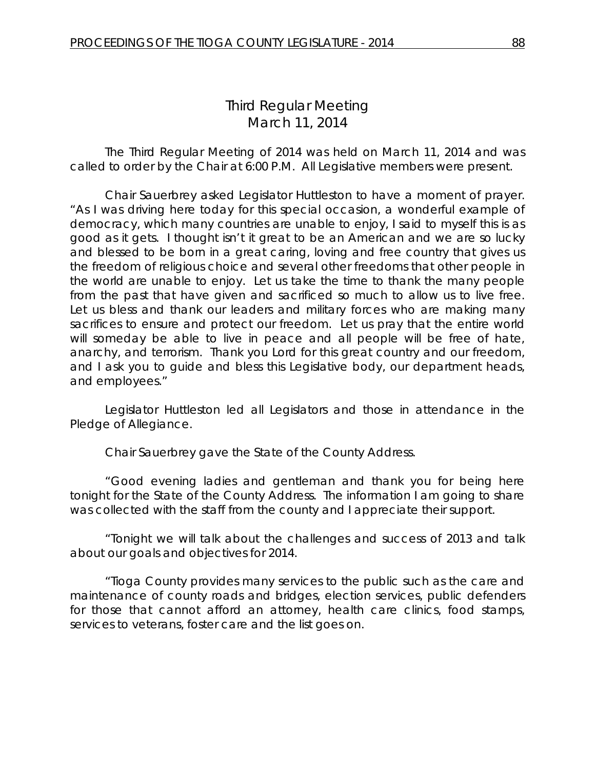# *Third Regular Meeting* March 11, 2014

The Third Regular Meeting of 2014 was held on March 11, 2014 and was called to order by the Chair at 6:00 P.M. All Legislative members were present.

Chair Sauerbrey asked Legislator Huttleston to have a moment of prayer. "As I was driving here today for this special occasion, a wonderful example of democracy, which many countries are unable to enjoy, I said to myself this is as good as it gets. I thought isn't it great to be an American and we are so lucky and blessed to be born in a great caring, loving and free country that gives us the freedom of religious choice and several other freedoms that other people in the world are unable to enjoy. Let us take the time to thank the many people from the past that have given and sacrificed so much to allow us to live free. Let us bless and thank our leaders and military forces who are making many sacrifices to ensure and protect our freedom. Let us pray that the entire world will someday be able to live in peace and all people will be free of hate, anarchy, and terrorism. Thank you Lord for this great country and our freedom, and I ask you to guide and bless this Legislative body, our department heads, and employees."

Legislator Huttleston led all Legislators and those in attendance in the Pledge of Allegiance.

Chair Sauerbrey gave the State of the County Address.

"Good evening ladies and gentleman and thank you for being here tonight for the State of the County Address. The information I am going to share was collected with the staff from the county and I appreciate their support.

"Tonight we will talk about the challenges and success of 2013 and talk about our goals and objectives for 2014.

"Tioga County provides many services to the public such as the care and maintenance of county roads and bridges, election services, public defenders for those that cannot afford an attorney, health care clinics, food stamps, services to veterans, foster care and the list goes on.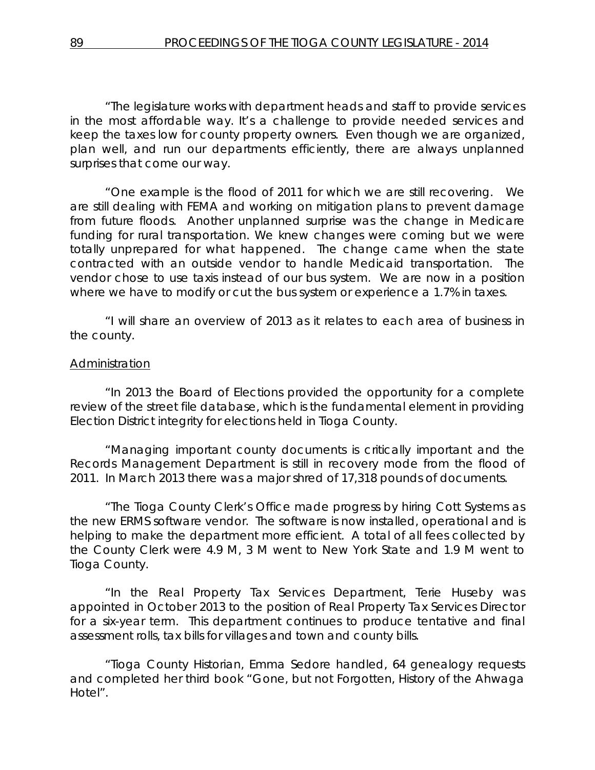"The legislature works with department heads and staff to provide services in the most affordable way. It's a challenge to provide needed services and keep the taxes low for county property owners. Even though we are organized, plan well, and run our departments efficiently, there are always unplanned surprises that come our way.

"One example is the flood of 2011 for which we are still recovering. We are still dealing with FEMA and working on mitigation plans to prevent damage from future floods. Another unplanned surprise was the change in Medicare funding for rural transportation. We knew changes were coming but we were totally unprepared for what happened. The change came when the state contracted with an outside vendor to handle Medicaid transportation. The vendor chose to use taxis instead of our bus system. We are now in a position where we have to modify or cut the bus system or experience a 1.7% in taxes.

"I will share an overview of 2013 as it relates to each area of business in the county.

## Administration

"In 2013 the Board of Elections provided the opportunity for a complete review of the street file database, which is the fundamental element in providing Election District integrity for elections held in Tioga County.

"Managing important county documents is critically important and the Records Management Department is still in recovery mode from the flood of 2011. In March 2013 there was a major shred of 17,318 pounds of documents.

"The Tioga County Clerk's Office made progress by hiring Cott Systems as the new ERMS software vendor. The software is now installed, operational and is helping to make the department more efficient. A total of all fees collected by the County Clerk were 4.9 M, 3 M went to New York State and 1.9 M went to Tioga County.

"In the Real Property Tax Services Department, Terie Huseby was appointed in October 2013 to the position of Real Property Tax Services Director for a six-year term. This department continues to produce tentative and final assessment rolls, tax bills for villages and town and county bills.

"Tioga County Historian, Emma Sedore handled, 64 genealogy requests and completed her third book "Gone, but not Forgotten, History of the Ahwaga Hotel".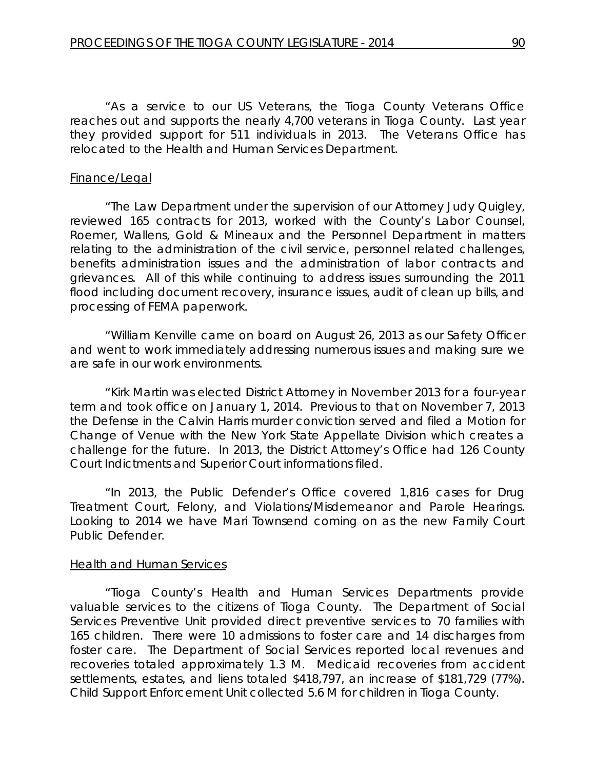"As a service to our US Veterans, the Tioga County Veterans Office reaches out and supports the nearly 4,700 veterans in Tioga County. Last year they provided support for 511 individuals in 2013. The Veterans Office has relocated to the Health and Human Services Department.

#### Finance/Legal

"The Law Department under the supervision of our Attorney Judy Quigley, reviewed 165 contracts for 2013, worked with the County's Labor Counsel, Roemer, Wallens, Gold & Mineaux and the Personnel Department in matters relating to the administration of the civil service, personnel related challenges, benefits administration issues and the administration of labor contracts and grievances. All of this while continuing to address issues surrounding the 2011 flood including document recovery, insurance issues, audit of clean up bills, and processing of FEMA paperwork.

"William Kenville came on board on August 26, 2013 as our Safety Officer and went to work immediately addressing numerous issues and making sure we are safe in our work environments.

"Kirk Martin was elected District Attorney in November 2013 for a four-year term and took office on January 1, 2014. Previous to that on November 7, 2013 the Defense in the Calvin Harris murder conviction served and filed a Motion for Change of Venue with the New York State Appellate Division which creates a challenge for the future. In 2013, the District Attorney's Office had 126 County Court Indictments and Superior Court informations filed.

"In 2013, the Public Defender's Office covered 1,816 cases for Drug Treatment Court, Felony, and Violations/Misdemeanor and Parole Hearings. Looking to 2014 we have Mari Townsend coming on as the new Family Court Public Defender.

#### Health and Human Services

"Tioga County's Health and Human Services Departments provide valuable services to the citizens of Tioga County. The Department of Social Services Preventive Unit provided direct preventive services to 70 families with 165 children. There were 10 admissions to foster care and 14 discharges from foster care. The Department of Social Services reported local revenues and recoveries totaled approximately 1.3 M. Medicaid recoveries from accident settlements, estates, and liens totaled \$418,797, an increase of \$181,729 (77%). Child Support Enforcement Unit collected 5.6 M for children in Tioga County.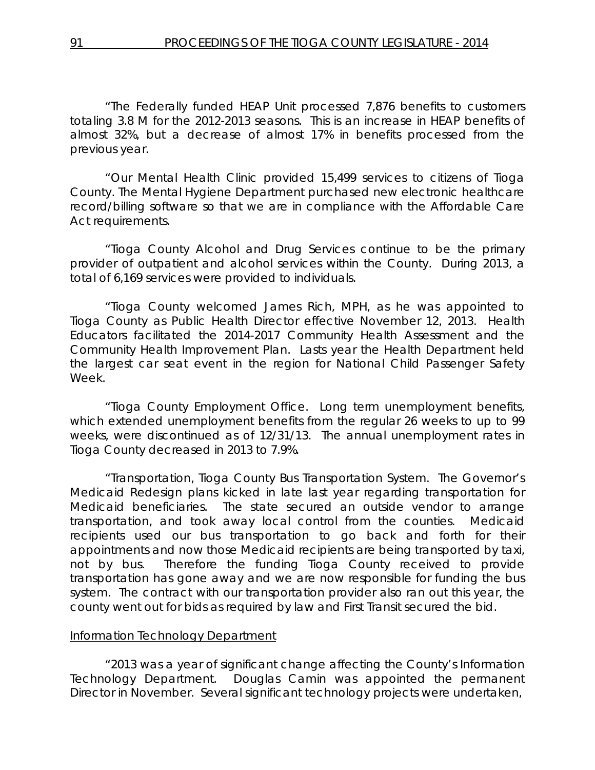"The Federally funded HEAP Unit processed 7,876 benefits to customers totaling 3.8 M for the 2012-2013 seasons. This is an increase in HEAP benefits of almost 32%, but a decrease of almost 17% in benefits processed from the previous year.

"Our Mental Health Clinic provided 15,499 services to citizens of Tioga County. The Mental Hygiene Department purchased new electronic healthcare record/billing software so that we are in compliance with the Affordable Care Act requirements.

"Tioga County Alcohol and Drug Services continue to be the primary provider of outpatient and alcohol services within the County. During 2013, a total of 6,169 services were provided to individuals.

"Tioga County welcomed James Rich, MPH, as he was appointed to Tioga County as Public Health Director effective November 12, 2013. Health Educators facilitated the 2014-2017 Community Health Assessment and the Community Health Improvement Plan. Lasts year the Health Department held the largest car seat event in the region for National Child Passenger Safety Week.

"Tioga County Employment Office. Long term unemployment benefits, which extended unemployment benefits from the regular 26 weeks to up to 99 weeks, were discontinued as of 12/31/13. The annual unemployment rates in Tioga County decreased in 2013 to 7.9%.

"Transportation, Tioga County Bus Transportation System. The Governor's Medicaid Redesign plans kicked in late last year regarding transportation for Medicaid beneficiaries. The state secured an outside vendor to arrange transportation, and took away local control from the counties. Medicaid recipients used our bus transportation to go back and forth for their appointments and now those Medicaid recipients are being transported by taxi, not by bus. Therefore the funding Tioga County received to provide transportation has gone away and we are now responsible for funding the bus system. The contract with our transportation provider also ran out this year, the county went out for bids as required by law and First Transit secured the bid.

#### Information Technology Department

"2013 was a year of significant change affecting the County's Information Technology Department. Douglas Camin was appointed the permanent Director in November. Several significant technology projects were undertaken,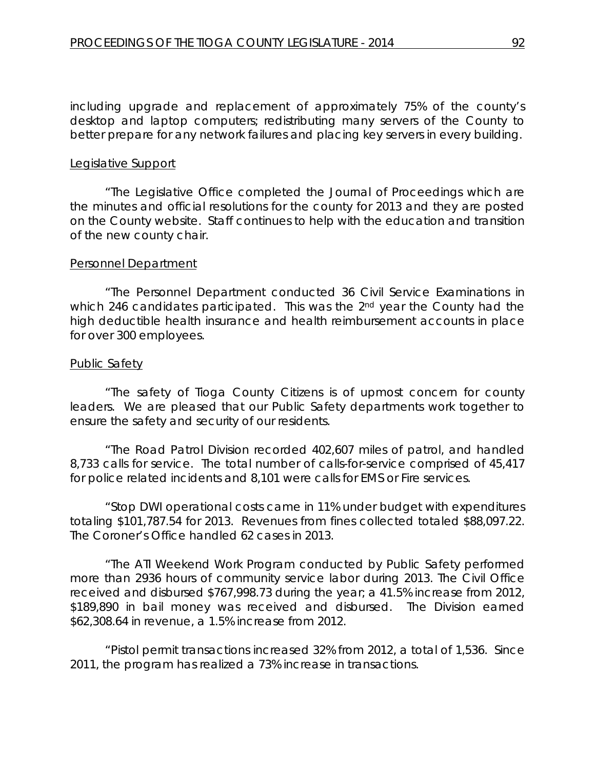including upgrade and replacement of approximately 75% of the county's desktop and laptop computers; redistributing many servers of the County to better prepare for any network failures and placing key servers in every building.

### Legislative Support

"The Legislative Office completed the Journal of Proceedings which are the minutes and official resolutions for the county for 2013 and they are posted on the County website. Staff continues to help with the education and transition of the new county chair.

## Personnel Department

"The Personnel Department conducted 36 Civil Service Examinations in which 246 candidates participated. This was the 2<sup>nd</sup> year the County had the high deductible health insurance and health reimbursement accounts in place for over 300 employees.

#### Public Safety

"The safety of Tioga County Citizens is of upmost concern for county leaders. We are pleased that our Public Safety departments work together to ensure the safety and security of our residents.

"The Road Patrol Division recorded 402,607 miles of patrol, and handled 8,733 calls for service. The total number of calls-for-service comprised of 45,417 for police related incidents and 8,101 were calls for EMS or Fire services.

"Stop DWI operational costs came in 11% under budget with expenditures totaling \$101,787.54 for 2013. Revenues from fines collected totaled \$88,097.22. The Coroner's Office handled 62 cases in 2013.

"The ATI Weekend Work Program conducted by Public Safety performed more than 2936 hours of community service labor during 2013. The Civil Office received and disbursed \$767,998.73 during the year; a 41.5% increase from 2012, \$189,890 in bail money was received and disbursed. The Division earned \$62,308.64 in revenue, a 1.5% increase from 2012.

"Pistol permit transactions increased 32% from 2012, a total of 1,536. Since 2011, the program has realized a 73% increase in transactions.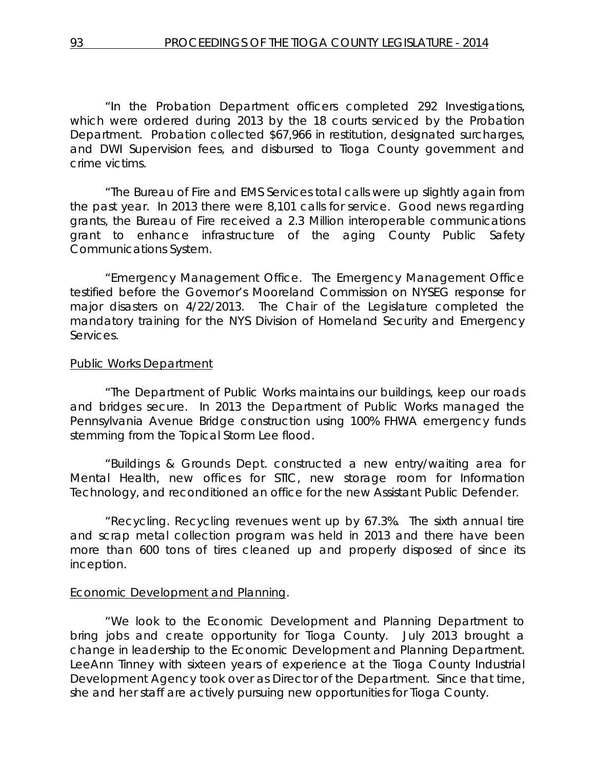"In the Probation Department officers completed 292 Investigations, which were ordered during 2013 by the 18 courts serviced by the Probation Department. Probation collected \$67,966 in restitution, designated surcharges, and DWI Supervision fees, and disbursed to Tioga County government and crime victims.

"The Bureau of Fire and EMS Services total calls were up slightly again from the past year. In 2013 there were 8,101 calls for service. Good news regarding grants, the Bureau of Fire received a 2.3 Million interoperable communications grant to enhance infrastructure of the aging County Public Safety Communications System.

"Emergency Management Office. The Emergency Management Office testified before the Governor's Mooreland Commission on NYSEG response for major disasters on 4/22/2013. The Chair of the Legislature completed the mandatory training for the NYS Division of Homeland Security and Emergency Services.

## Public Works Department

"The Department of Public Works maintains our buildings, keep our roads and bridges secure. In 2013 the Department of Public Works managed the Pennsylvania Avenue Bridge construction using 100% FHWA emergency funds stemming from the Topical Storm Lee flood.

"Buildings & Grounds Dept. constructed a new entry/waiting area for Mental Health, new offices for STIC, new storage room for Information Technology, and reconditioned an office for the new Assistant Public Defender.

"Recycling. Recycling revenues went up by 67.3%. The sixth annual tire and scrap metal collection program was held in 2013 and there have been more than 600 tons of tires cleaned up and properly disposed of since its inception.

# Economic Development and Planning.

"We look to the Economic Development and Planning Department to bring jobs and create opportunity for Tioga County. July 2013 brought a change in leadership to the Economic Development and Planning Department. LeeAnn Tinney with sixteen years of experience at the Tioga County Industrial Development Agency took over as Director of the Department. Since that time, she and her staff are actively pursuing new opportunities for Tioga County.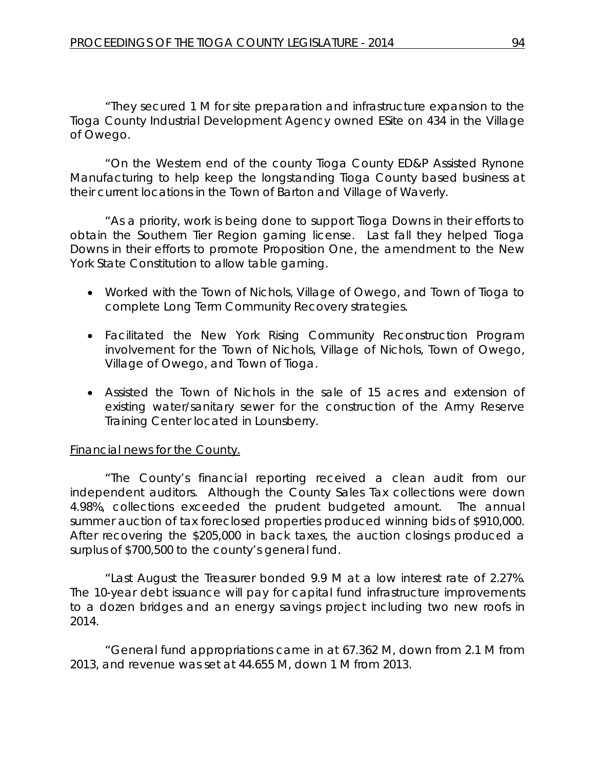"They secured 1 M for site preparation and infrastructure expansion to the Tioga County Industrial Development Agency owned ESite on 434 in the Village of Owego.

"On the Western end of the county Tioga County ED&P Assisted Rynone Manufacturing to help keep the longstanding Tioga County based business at their current locations in the Town of Barton and Village of Waverly.

"As a priority, work is being done to support Tioga Downs in their efforts to obtain the Southern Tier Region gaming license. Last fall they helped Tioga Downs in their efforts to promote Proposition One, the amendment to the New York State Constitution to allow table gaming.

- Worked with the Town of Nichols, Village of Owego, and Town of Tioga to complete Long Term Community Recovery strategies.
- Facilitated the New York Rising Community Reconstruction Program involvement for the Town of Nichols, Village of Nichols, Town of Owego, Village of Owego, and Town of Tioga.
- Assisted the Town of Nichols in the sale of 15 acres and extension of existing water/sanitary sewer for the construction of the Army Reserve Training Center located in Lounsberry.

# Financial news for the County.

"The County's financial reporting received a clean audit from our independent auditors. Although the County Sales Tax collections were down 4.98%, collections exceeded the prudent budgeted amount. The annual summer auction of tax foreclosed properties produced winning bids of \$910,000. After recovering the \$205,000 in back taxes, the auction closings produced a surplus of \$700,500 to the county's general fund.

"Last August the Treasurer bonded 9.9 M at a low interest rate of 2.27%. The 10-year debt issuance will pay for capital fund infrastructure improvements to a dozen bridges and an energy savings project including two new roofs in 2014.

"General fund appropriations came in at 67.362 M, down from 2.1 M from 2013, and revenue was set at 44.655 M, down 1 M from 2013.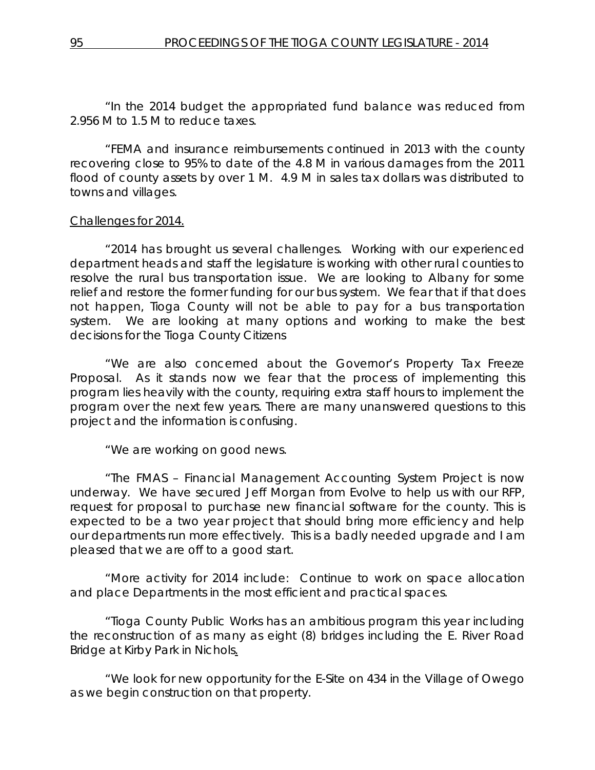"In the 2014 budget the appropriated fund balance was reduced from 2.956 M to 1.5 M to reduce taxes.

"FEMA and insurance reimbursements continued in 2013 with the county recovering close to 95% to date of the 4.8 M in various damages from the 2011 flood of county assets by over 1 M. 4.9 M in sales tax dollars was distributed to towns and villages.

# Challenges for 2014.

"2014 has brought us several challenges. Working with our experienced department heads and staff the legislature is working with other rural counties to resolve the rural bus transportation issue. We are looking to Albany for some relief and restore the former funding for our bus system. We fear that if that does not happen, Tioga County will not be able to pay for a bus transportation system. We are looking at many options and working to make the best decisions for the Tioga County Citizens

"We are also concerned about the Governor's Property Tax Freeze Proposal. As it stands now we fear that the process of implementing this program lies heavily with the county, requiring extra staff hours to implement the program over the next few years. There are many unanswered questions to this project and the information is confusing.

"We are working on good news.

"The FMAS – Financial Management Accounting System Project is now underway. We have secured Jeff Morgan from Evolve to help us with our RFP, request for proposal to purchase new financial software for the county. This is expected to be a two year project that should bring more efficiency and help our departments run more effectively. This is a badly needed upgrade and I am pleased that we are off to a good start.

"More activity for 2014 include: Continue to work on space allocation and place Departments in the most efficient and practical spaces.

"Tioga County Public Works has an ambitious program this year including the reconstruction of as many as eight (8) bridges including the E. River Road Bridge at Kirby Park in Nichols.

"We look for new opportunity for the E-Site on 434 in the Village of Owego as we begin construction on that property.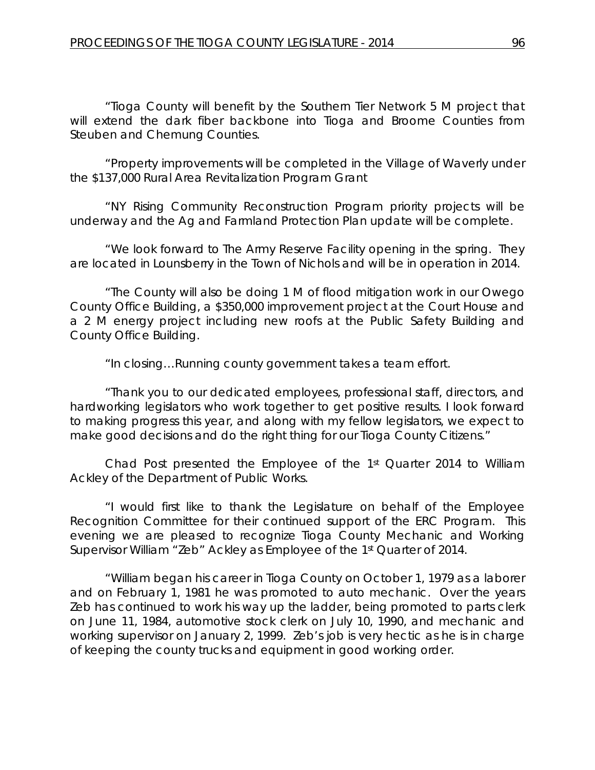"Tioga County will benefit by the Southern Tier Network 5 M project that will extend the dark fiber backbone into Tioga and Broome Counties from Steuben and Chemung Counties.

"Property improvements will be completed in the Village of Waverly under the \$137,000 Rural Area Revitalization Program Grant

"NY Rising Community Reconstruction Program priority projects will be underway and the Ag and Farmland Protection Plan update will be complete.

"We look forward to The Army Reserve Facility opening in the spring. They are located in Lounsberry in the Town of Nichols and will be in operation in 2014.

"The County will also be doing 1 M of flood mitigation work in our Owego County Office Building, a \$350,000 improvement project at the Court House and a 2 M energy project including new roofs at the Public Safety Building and County Office Building.

"In closing…Running county government takes a team effort.

"Thank you to our dedicated employees, professional staff, directors, and hardworking legislators who work together to get positive results. I look forward to making progress this year, and along with my fellow legislators, we expect to make good decisions and do the right thing for our Tioga County Citizens."

Chad Post presented the Employee of the 1st Quarter 2014 to William Ackley of the Department of Public Works.

"I would first like to thank the Legislature on behalf of the Employee Recognition Committee for their continued support of the ERC Program. This evening we are pleased to recognize Tioga County Mechanic and Working Supervisor William "Zeb" Ackley as Employee of the 1st Quarter of 2014.

"William began his career in Tioga County on October 1, 1979 as a laborer and on February 1, 1981 he was promoted to auto mechanic. Over the years Zeb has continued to work his way up the ladder, being promoted to parts clerk on June 11, 1984, automotive stock clerk on July 10, 1990, and mechanic and working supervisor on January 2, 1999. Zeb's job is very hectic as he is in charge of keeping the county trucks and equipment in good working order.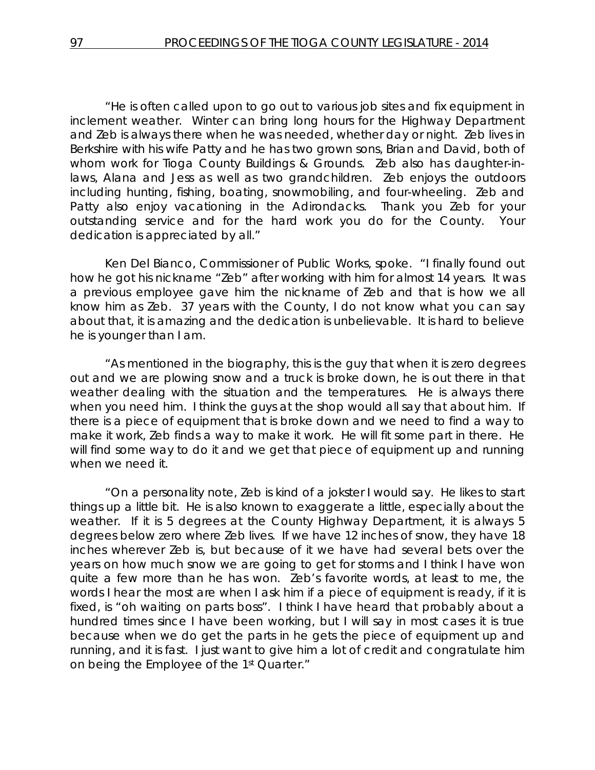"He is often called upon to go out to various job sites and fix equipment in inclement weather. Winter can bring long hours for the Highway Department and Zeb is always there when he was needed, whether day or night. Zeb lives in Berkshire with his wife Patty and he has two grown sons, Brian and David, both of whom work for Tioga County Buildings & Grounds. Zeb also has daughter-inlaws, Alana and Jess as well as two grandchildren. Zeb enjoys the outdoors including hunting, fishing, boating, snowmobiling, and four-wheeling. Zeb and Patty also enjoy vacationing in the Adirondacks. Thank you Zeb for your outstanding service and for the hard work you do for the County. Your dedication is appreciated by all."

Ken Del Bianco, Commissioner of Public Works, spoke. "I finally found out how he got his nickname "Zeb" after working with him for almost 14 years. It was a previous employee gave him the nickname of Zeb and that is how we all know him as Zeb. 37 years with the County, I do not know what you can say about that, it is amazing and the dedication is unbelievable. It is hard to believe he is younger than I am.

"As mentioned in the biography, this is the guy that when it is zero degrees out and we are plowing snow and a truck is broke down, he is out there in that weather dealing with the situation and the temperatures. He is always there when you need him. I think the guys at the shop would all say that about him. If there is a piece of equipment that is broke down and we need to find a way to make it work, Zeb finds a way to make it work. He will fit some part in there. He will find some way to do it and we get that piece of equipment up and running when we need it.

"On a personality note, Zeb is kind of a jokster I would say. He likes to start things up a little bit. He is also known to exaggerate a little, especially about the weather. If it is 5 degrees at the County Highway Department, it is always 5 degrees below zero where Zeb lives. If we have 12 inches of snow, they have 18 inches wherever Zeb is, but because of it we have had several bets over the years on how much snow we are going to get for storms and I think I have won quite a few more than he has won. Zeb's favorite words, at least to me, the words I hear the most are when I ask him if a piece of equipment is ready, if it is fixed, is "oh waiting on parts boss". I think I have heard that probably about a hundred times since I have been working, but I will say in most cases it is true because when we do get the parts in he gets the piece of equipment up and running, and it is fast. I just want to give him a lot of credit and congratulate him on being the Employee of the 1st Quarter."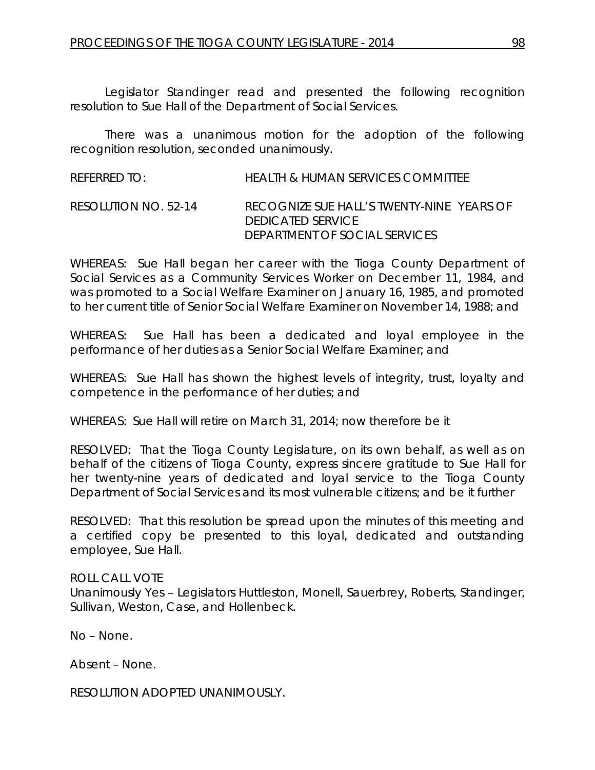Legislator Standinger read and presented the following recognition resolution to Sue Hall of the Department of Social Services.

There was a unanimous motion for the adoption of the following recognition resolution, seconded unanimously.

REFERRED TO: HEALTH & HUMAN SERVICES COMMITTEE RESOLUTION NO. 52-14 *RECOGNIZE SUE HALL'S TWENTY-NINE YEARS OF DEDICATED SERVICE DEPARTMENT OF SOCIAL SERVICES*

WHEREAS: Sue Hall began her career with the Tioga County Department of Social Services as a Community Services Worker on December 11, 1984, and was promoted to a Social Welfare Examiner on January 16, 1985, and promoted to her current title of Senior Social Welfare Examiner on November 14, 1988; and

WHEREAS: Sue Hall has been a dedicated and loyal employee in the performance of her duties as a Senior Social Welfare Examiner; and

WHEREAS: Sue Hall has shown the highest levels of integrity, trust, loyalty and competence in the performance of her duties; and

WHEREAS: Sue Hall will retire on March 31, 2014; now therefore be it

RESOLVED:That the Tioga County Legislature, on its own behalf, as well as on behalf of the citizens of Tioga County, express sincere gratitude to Sue Hall for her twenty-nine years of dedicated and loyal service to the Tioga County Department of Social Services and its most vulnerable citizens; and be it further

RESOLVED: That this resolution be spread upon the minutes of this meeting and a certified copy be presented to this loyal, dedicated and outstanding employee, Sue Hall.

ROLL CALL VOTE Unanimously Yes – Legislators Huttleston, Monell, Sauerbrey, Roberts, Standinger, Sullivan, Weston, Case, and Hollenbeck.

No – None.

Absent – None.

RESOLUTION ADOPTED UNANIMOUSLY.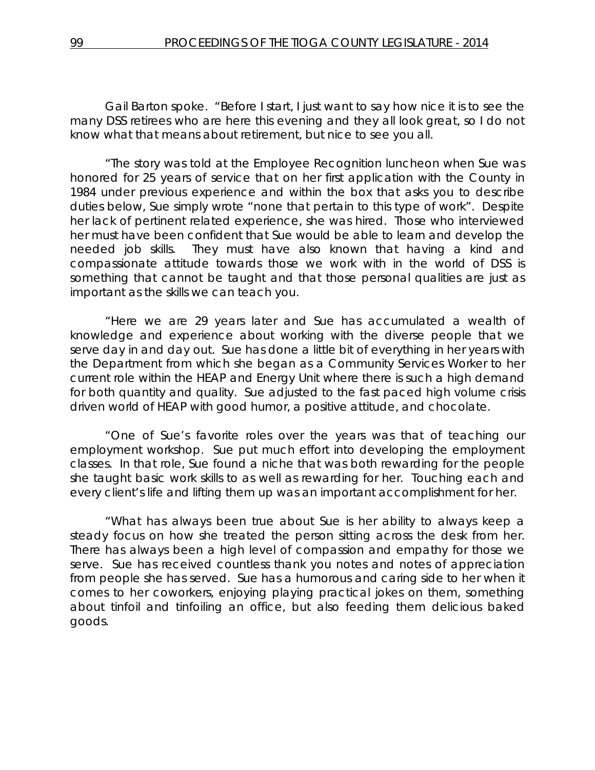Gail Barton spoke. "Before I start, I just want to say how nice it is to see the many DSS retirees who are here this evening and they all look great, so I do not know what that means about retirement, but nice to see you all.

"The story was told at the Employee Recognition luncheon when Sue was honored for 25 years of service that on her first application with the County in 1984 under previous experience and within the box that asks you to describe duties below, Sue simply wrote "none that pertain to this type of work". Despite her lack of pertinent related experience, she was hired. Those who interviewed her must have been confident that Sue would be able to learn and develop the needed job skills. They must have also known that having a kind and compassionate attitude towards those we work with in the world of DSS is something that cannot be taught and that those personal qualities are just as important as the skills we can teach you.

"Here we are 29 years later and Sue has accumulated a wealth of knowledge and experience about working with the diverse people that we serve day in and day out. Sue has done a little bit of everything in her years with the Department from which she began as a Community Services Worker to her current role within the HEAP and Energy Unit where there is such a high demand for both quantity and quality. Sue adjusted to the fast paced high volume crisis driven world of HEAP with good humor, a positive attitude, and chocolate.

"One of Sue's favorite roles over the years was that of teaching our employment workshop. Sue put much effort into developing the employment classes. In that role, Sue found a niche that was both rewarding for the people she taught basic work skills to as well as rewarding for her. Touching each and every client's life and lifting them up was an important accomplishment for her.

"What has always been true about Sue is her ability to always keep a steady focus on how she treated the person sitting across the desk from her. There has always been a high level of compassion and empathy for those we serve. Sue has received countless thank you notes and notes of appreciation from people she has served. Sue has a humorous and caring side to her when it comes to her coworkers, enjoying playing practical jokes on them, something about tinfoil and tinfoiling an office, but also feeding them delicious baked goods.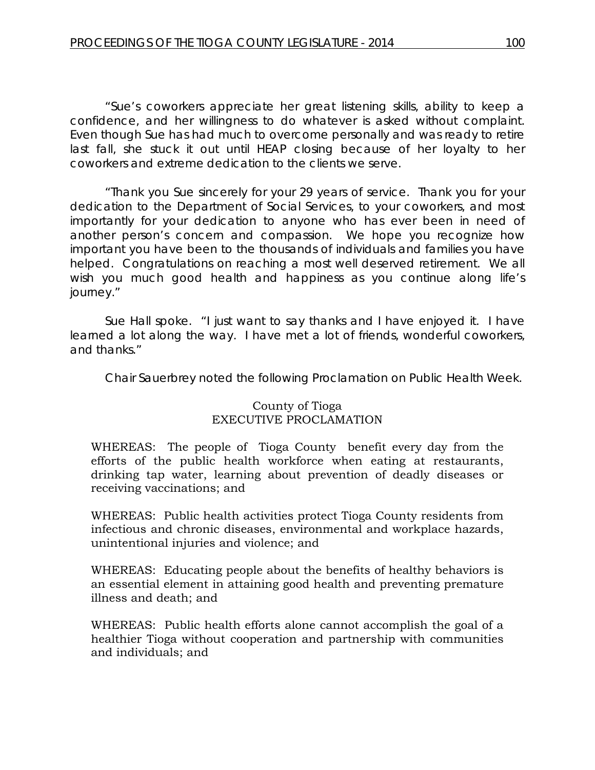"Sue's coworkers appreciate her great listening skills, ability to keep a confidence, and her willingness to do whatever is asked without complaint. Even though Sue has had much to overcome personally and was ready to retire last fall, she stuck it out until HEAP closing because of her loyalty to her coworkers and extreme dedication to the clients we serve.

"Thank you Sue sincerely for your 29 years of service. Thank you for your dedication to the Department of Social Services, to your coworkers, and most importantly for your dedication to anyone who has ever been in need of another person's concern and compassion. We hope you recognize how important you have been to the thousands of individuals and families you have helped. Congratulations on reaching a most well deserved retirement. We all wish you much good health and happiness as you continue along life's journey."

Sue Hall spoke. "I just want to say thanks and I have enjoyed it. I have learned a lot along the way. I have met a lot of friends, wonderful coworkers, and thanks."

Chair Sauerbrey noted the following Proclamation on Public Health Week.

# County of Tioga EXECUTIVE PROCLAMATION

WHEREAS: The people of Tioga County benefit every day from the efforts of the public health workforce when eating at restaurants, drinking tap water, learning about prevention of deadly diseases or receiving vaccinations; and

WHEREAS: Public health activities protect Tioga County residents from infectious and chronic diseases, environmental and workplace hazards, unintentional injuries and violence; and

WHEREAS: Educating people about the benefits of healthy behaviors is an essential element in attaining good health and preventing premature illness and death; and

WHEREAS: Public health efforts alone cannot accomplish the goal of a healthier Tioga without cooperation and partnership with communities and individuals; and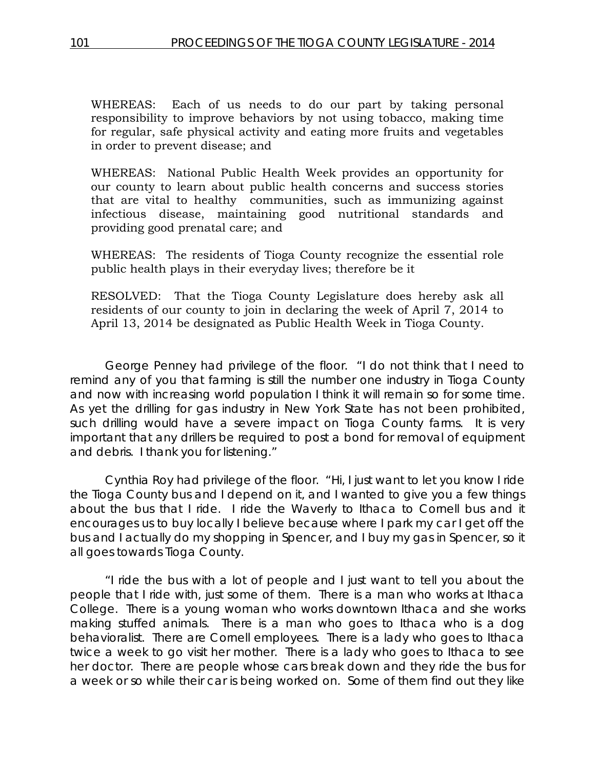WHEREAS: Each of us needs to do our part by taking personal responsibility to improve behaviors by not using tobacco, making time for regular, safe physical activity and eating more fruits and vegetables in order to prevent disease; and

WHEREAS: National Public Health Week provides an opportunity for our county to learn about public health concerns and success stories that are vital to healthy communities, such as immunizing against infectious disease, maintaining good nutritional standards and providing good prenatal care; and

WHEREAS: The residents of Tioga County recognize the essential role public health plays in their everyday lives; therefore be it

RESOLVED: That the Tioga County Legislature does hereby ask all residents of our county to join in declaring the week of April 7, 2014 to April 13, 2014 be designated as Public Health Week in Tioga County.

George Penney had privilege of the floor. "I do not think that I need to remind any of you that farming is still the number one industry in Tioga County and now with increasing world population I think it will remain so for some time. As yet the drilling for gas industry in New York State has not been prohibited, such drilling would have a severe impact on Tioga County farms. It is very important that any drillers be required to post a bond for removal of equipment and debris. I thank you for listening."

Cynthia Roy had privilege of the floor. "Hi, I just want to let you know I ride the Tioga County bus and I depend on it, and I wanted to give you a few things about the bus that I ride. I ride the Waverly to Ithaca to Cornell bus and it encourages us to buy locally I believe because where I park my car I get off the bus and I actually do my shopping in Spencer, and I buy my gas in Spencer, so it all goes towards Tioga County.

"I ride the bus with a lot of people and I just want to tell you about the people that I ride with, just some of them. There is a man who works at Ithaca College. There is a young woman who works downtown Ithaca and she works making stuffed animals. There is a man who goes to Ithaca who is a dog behavioralist. There are Cornell employees. There is a lady who goes to Ithaca twice a week to go visit her mother. There is a lady who goes to Ithaca to see her doctor. There are people whose cars break down and they ride the bus for a week or so while their car is being worked on. Some of them find out they like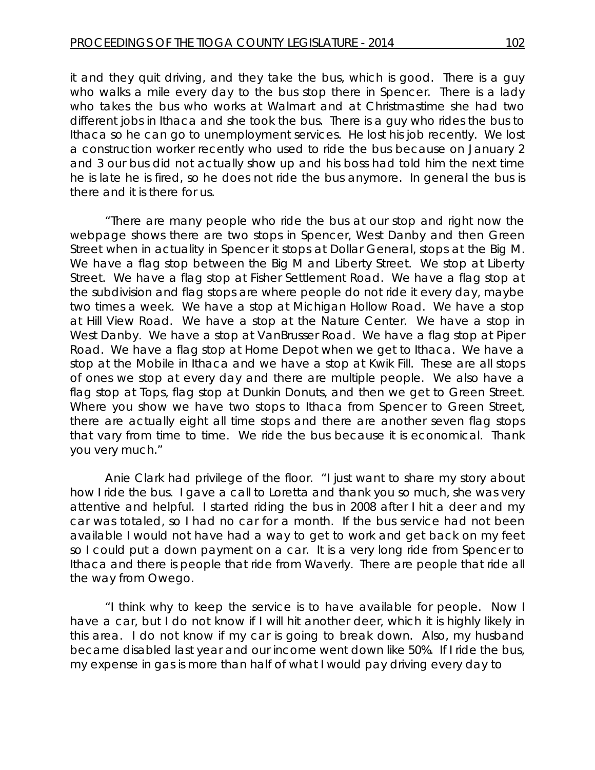it and they quit driving, and they take the bus, which is good. There is a guy who walks a mile every day to the bus stop there in Spencer. There is a lady who takes the bus who works at Walmart and at Christmastime she had two different jobs in Ithaca and she took the bus. There is a guy who rides the bus to Ithaca so he can go to unemployment services. He lost his job recently. We lost a construction worker recently who used to ride the bus because on January 2 and 3 our bus did not actually show up and his boss had told him the next time he is late he is fired, so he does not ride the bus anymore. In general the bus is there and it is there for us.

"There are many people who ride the bus at our stop and right now the webpage shows there are two stops in Spencer, West Danby and then Green Street when in actuality in Spencer it stops at Dollar General, stops at the Big M. We have a flag stop between the Big M and Liberty Street. We stop at Liberty Street. We have a flag stop at Fisher Settlement Road. We have a flag stop at the subdivision and flag stops are where people do not ride it every day, maybe two times a week. We have a stop at Michigan Hollow Road. We have a stop at Hill View Road. We have a stop at the Nature Center. We have a stop in West Danby. We have a stop at VanBrusser Road. We have a flag stop at Piper Road. We have a flag stop at Home Depot when we get to Ithaca. We have a stop at the Mobile in Ithaca and we have a stop at Kwik Fill. These are all stops of ones we stop at every day and there are multiple people. We also have a flag stop at Tops, flag stop at Dunkin Donuts, and then we get to Green Street. Where you show we have two stops to Ithaca from Spencer to Green Street, there are actually eight all time stops and there are another seven flag stops that vary from time to time. We ride the bus because it is economical. Thank you very much."

Anie Clark had privilege of the floor. "I just want to share my story about how I ride the bus. I gave a call to Loretta and thank you so much, she was very attentive and helpful. I started riding the bus in 2008 after I hit a deer and my car was totaled, so I had no car for a month. If the bus service had not been available I would not have had a way to get to work and get back on my feet so I could put a down payment on a car. It is a very long ride from Spencer to Ithaca and there is people that ride from Waverly. There are people that ride all the way from Owego.

"I think why to keep the service is to have available for people. Now I have a car, but I do not know if I will hit another deer, which it is highly likely in this area. I do not know if my car is going to break down. Also, my husband became disabled last year and our income went down like 50%. If I ride the bus, my expense in gas is more than half of what I would pay driving every day to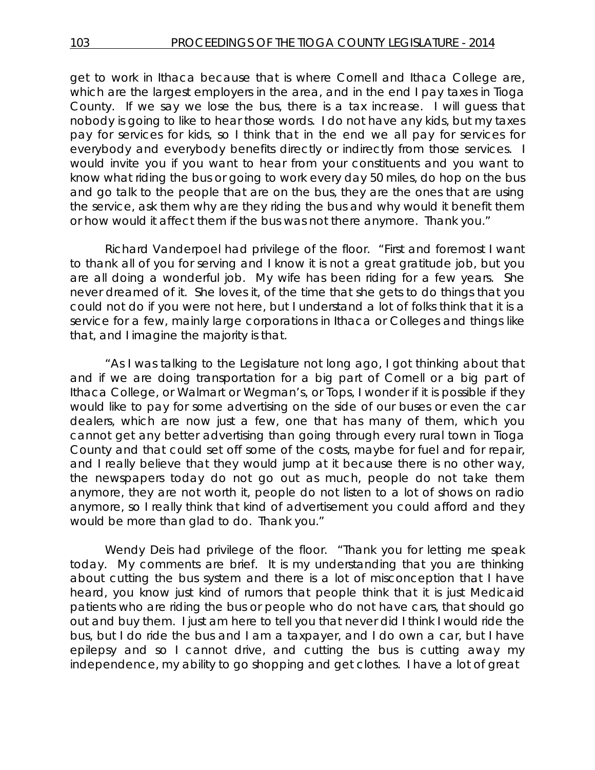get to work in Ithaca because that is where Cornell and Ithaca College are, which are the largest employers in the area, and in the end I pay taxes in Tioga County. If we say we lose the bus, there is a tax increase. I will guess that nobody is going to like to hear those words. I do not have any kids, but my taxes pay for services for kids, so I think that in the end we all pay for services for everybody and everybody benefits directly or indirectly from those services. I would invite you if you want to hear from your constituents and you want to know what riding the bus or going to work every day 50 miles, do hop on the bus and go talk to the people that are on the bus, they are the ones that are using the service, ask them why are they riding the bus and why would it benefit them or how would it affect them if the bus was not there anymore. Thank you."

Richard Vanderpoel had privilege of the floor. "First and foremost I want to thank all of you for serving and I know it is not a great gratitude job, but you are all doing a wonderful job. My wife has been riding for a few years. She never dreamed of it. She loves it, of the time that she gets to do things that you could not do if you were not here, but I understand a lot of folks think that it is a service for a few, mainly large corporations in Ithaca or Colleges and things like that, and I imagine the majority is that.

"As I was talking to the Legislature not long ago, I got thinking about that and if we are doing transportation for a big part of Cornell or a big part of Ithaca College, or Walmart or Wegman's, or Tops, I wonder if it is possible if they would like to pay for some advertising on the side of our buses or even the car dealers, which are now just a few, one that has many of them, which you cannot get any better advertising than going through every rural town in Tioga County and that could set off some of the costs, maybe for fuel and for repair, and I really believe that they would jump at it because there is no other way, the newspapers today do not go out as much, people do not take them anymore, they are not worth it, people do not listen to a lot of shows on radio anymore, so I really think that kind of advertisement you could afford and they would be more than glad to do. Thank you."

Wendy Deis had privilege of the floor. "Thank you for letting me speak today. My comments are brief. It is my understanding that you are thinking about cutting the bus system and there is a lot of misconception that I have heard, you know just kind of rumors that people think that it is just Medicaid patients who are riding the bus or people who do not have cars, that should go out and buy them. I just am here to tell you that never did I think I would ride the bus, but I do ride the bus and I am a taxpayer, and I do own a car, but I have epilepsy and so I cannot drive, and cutting the bus is cutting away my independence, my ability to go shopping and get clothes. I have a lot of great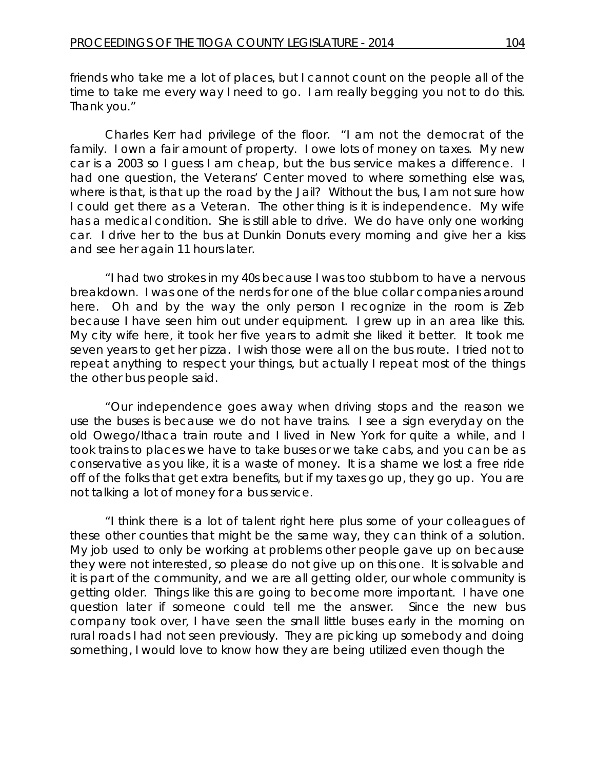friends who take me a lot of places, but I cannot count on the people all of the time to take me every way I need to go. I am really begging you not to do this. Thank you."

Charles Kerr had privilege of the floor. "I am not the democrat of the family. I own a fair amount of property. I owe lots of money on taxes. My new car is a 2003 so I guess I am cheap, but the bus service makes a difference. I had one question, the Veterans' Center moved to where something else was, where is that, is that up the road by the Jail? Without the bus, I am not sure how I could get there as a Veteran. The other thing is it is independence. My wife has a medical condition. She is still able to drive. We do have only one working car. I drive her to the bus at Dunkin Donuts every morning and give her a kiss and see her again 11 hours later.

"I had two strokes in my 40s because I was too stubborn to have a nervous breakdown. I was one of the nerds for one of the blue collar companies around here. Oh and by the way the only person I recognize in the room is Zeb because I have seen him out under equipment. I grew up in an area like this. My city wife here, it took her five years to admit she liked it better. It took me seven years to get her pizza. I wish those were all on the bus route. I tried not to repeat anything to respect your things, but actually I repeat most of the things the other bus people said.

"Our independence goes away when driving stops and the reason we use the buses is because we do not have trains. I see a sign everyday on the old Owego/Ithaca train route and I lived in New York for quite a while, and I took trains to places we have to take buses or we take cabs, and you can be as conservative as you like, it is a waste of money. It is a shame we lost a free ride off of the folks that get extra benefits, but if my taxes go up, they go up. You are not talking a lot of money for a bus service.

"I think there is a lot of talent right here plus some of your colleagues of these other counties that might be the same way, they can think of a solution. My job used to only be working at problems other people gave up on because they were not interested, so please do not give up on this one. It is solvable and it is part of the community, and we are all getting older, our whole community is getting older. Things like this are going to become more important. I have one question later if someone could tell me the answer. Since the new bus company took over, I have seen the small little buses early in the morning on rural roads I had not seen previously. They are picking up somebody and doing something, I would love to know how they are being utilized even though the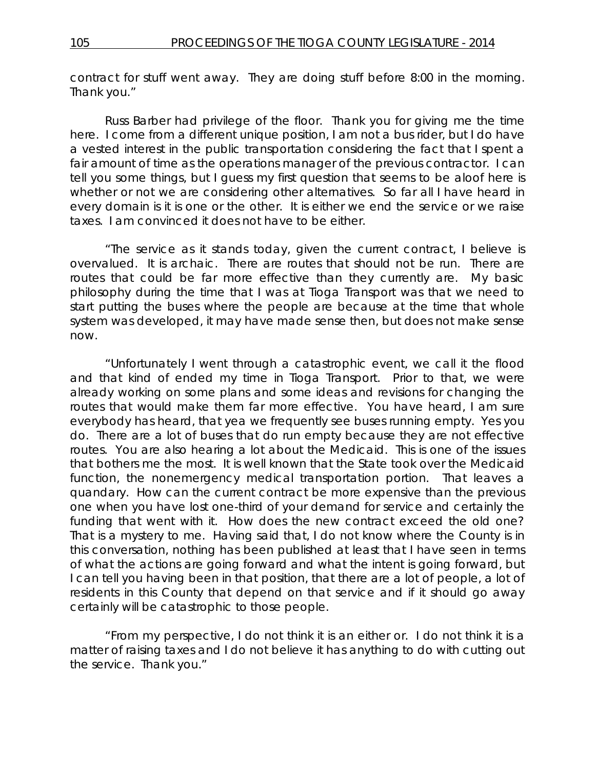contract for stuff went away. They are doing stuff before 8:00 in the morning. Thank you."

Russ Barber had privilege of the floor. Thank you for giving me the time here. I come from a different unique position, I am not a bus rider, but I do have a vested interest in the public transportation considering the fact that I spent a fair amount of time as the operations manager of the previous contractor. I can tell you some things, but I guess my first question that seems to be aloof here is whether or not we are considering other alternatives. So far all I have heard in every domain is it is one or the other. It is either we end the service or we raise taxes. I am convinced it does not have to be either.

"The service as it stands today, given the current contract, I believe is overvalued. It is archaic. There are routes that should not be run. There are routes that could be far more effective than they currently are. My basic philosophy during the time that I was at Tioga Transport was that we need to start putting the buses where the people are because at the time that whole system was developed, it may have made sense then, but does not make sense now.

"Unfortunately I went through a catastrophic event, we call it the flood and that kind of ended my time in Tioga Transport. Prior to that, we were already working on some plans and some ideas and revisions for changing the routes that would make them far more effective. You have heard, I am sure everybody has heard, that yea we frequently see buses running empty. Yes you do. There are a lot of buses that do run empty because they are not effective routes. You are also hearing a lot about the Medicaid. This is one of the issues that bothers me the most. It is well known that the State took over the Medicaid function, the nonemergency medical transportation portion. That leaves a quandary. How can the current contract be more expensive than the previous one when you have lost one-third of your demand for service and certainly the funding that went with it. How does the new contract exceed the old one? That is a mystery to me. Having said that, I do not know where the County is in this conversation, nothing has been published at least that I have seen in terms of what the actions are going forward and what the intent is going forward, but I can tell you having been in that position, that there are a lot of people, a lot of residents in this County that depend on that service and if it should go away certainly will be catastrophic to those people.

"From my perspective, I do not think it is an either or. I do not think it is a matter of raising taxes and I do not believe it has anything to do with cutting out the service. Thank you."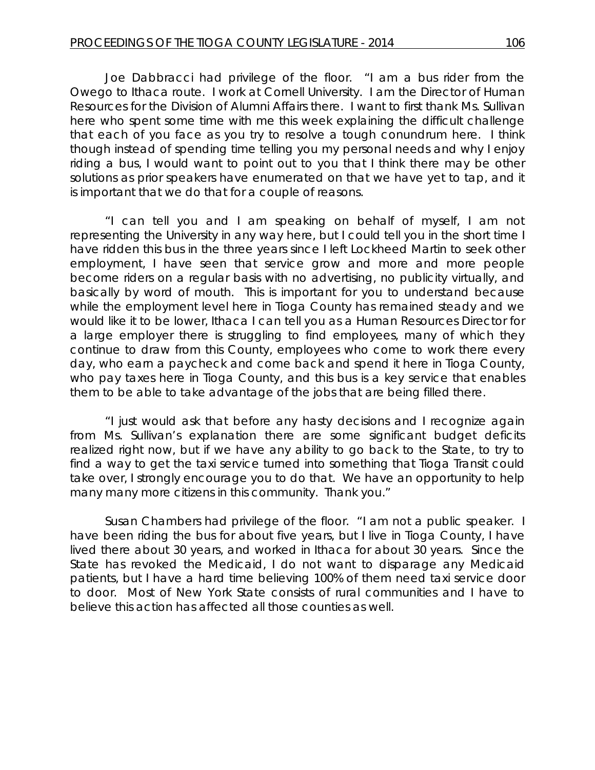Joe Dabbracci had privilege of the floor. "I am a bus rider from the Owego to Ithaca route. I work at Cornell University. I am the Director of Human Resources for the Division of Alumni Affairs there. I want to first thank Ms. Sullivan here who spent some time with me this week explaining the difficult challenge that each of you face as you try to resolve a tough conundrum here. I think though instead of spending time telling you my personal needs and why I enjoy riding a bus, I would want to point out to you that I think there may be other solutions as prior speakers have enumerated on that we have yet to tap, and it is important that we do that for a couple of reasons.

"I can tell you and I am speaking on behalf of myself, I am not representing the University in any way here, but I could tell you in the short time I have ridden this bus in the three years since I left Lockheed Martin to seek other employment, I have seen that service grow and more and more people become riders on a regular basis with no advertising, no publicity virtually, and basically by word of mouth. This is important for you to understand because while the employment level here in Tioga County has remained steady and we would like it to be lower, Ithaca I can tell you as a Human Resources Director for a large employer there is struggling to find employees, many of which they continue to draw from this County, employees who come to work there every day, who earn a paycheck and come back and spend it here in Tioga County, who pay taxes here in Tioga County, and this bus is a key service that enables them to be able to take advantage of the jobs that are being filled there.

"I just would ask that before any hasty decisions and I recognize again from Ms. Sullivan's explanation there are some significant budget deficits realized right now, but if we have any ability to go back to the State, to try to find a way to get the taxi service turned into something that Tioga Transit could take over, I strongly encourage you to do that. We have an opportunity to help many many more citizens in this community. Thank you."

Susan Chambers had privilege of the floor. "I am not a public speaker. I have been riding the bus for about five years, but I live in Tioga County, I have lived there about 30 years, and worked in Ithaca for about 30 years. Since the State has revoked the Medicaid, I do not want to disparage any Medicaid patients, but I have a hard time believing 100% of them need taxi service door to door. Most of New York State consists of rural communities and I have to believe this action has affected all those counties as well.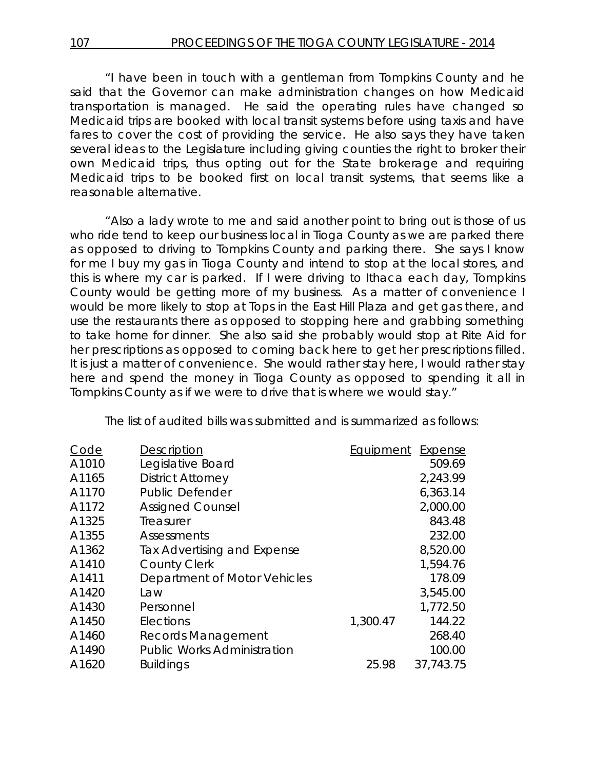"I have been in touch with a gentleman from Tompkins County and he said that the Governor can make administration changes on how Medicaid transportation is managed. He said the operating rules have changed so Medicaid trips are booked with local transit systems before using taxis and have fares to cover the cost of providing the service. He also says they have taken several ideas to the Legislature including giving counties the right to broker their own Medicaid trips, thus opting out for the State brokerage and requiring Medicaid trips to be booked first on local transit systems, that seems like a reasonable alternative.

"Also a lady wrote to me and said another point to bring out is those of us who ride tend to keep our business local in Tioga County as we are parked there as opposed to driving to Tompkins County and parking there. She says I know for me I buy my gas in Tioga County and intend to stop at the local stores, and this is where my car is parked. If I were driving to Ithaca each day, Tompkins County would be getting more of my business. As a matter of convenience I would be more likely to stop at Tops in the East Hill Plaza and get gas there, and use the restaurants there as opposed to stopping here and grabbing something to take home for dinner. She also said she probably would stop at Rite Aid for her prescriptions as opposed to coming back here to get her prescriptions filled. It is just a matter of convenience. She would rather stay here, I would rather stay here and spend the money in Tioga County as opposed to spending it all in Tompkins County as if we were to drive that is where we would stay."

The list of audited bills was submitted and is summarized as follows:

| <b>Description</b>                 | Equipment | <b>Expense</b> |
|------------------------------------|-----------|----------------|
| Legislative Board                  |           | 509.69         |
| <b>District Attorney</b>           |           | 2,243.99       |
| <b>Public Defender</b>             |           | 6,363.14       |
| <b>Assigned Counsel</b>            |           | 2,000.00       |
| Treasurer                          |           | 843.48         |
| Assessments                        |           | 232.00         |
| Tax Advertising and Expense        |           | 8,520.00       |
| <b>County Clerk</b>                |           | 1,594.76       |
| Department of Motor Vehicles       |           | 178.09         |
| Law                                |           | 3,545.00       |
| Personnel                          |           | 1,772.50       |
| Elections                          | 1,300.47  | 144.22         |
| Records Management                 |           | 268.40         |
| <b>Public Works Administration</b> |           | 100.00         |
| <b>Buildings</b>                   | 25.98     | 37,743.75      |
|                                    |           |                |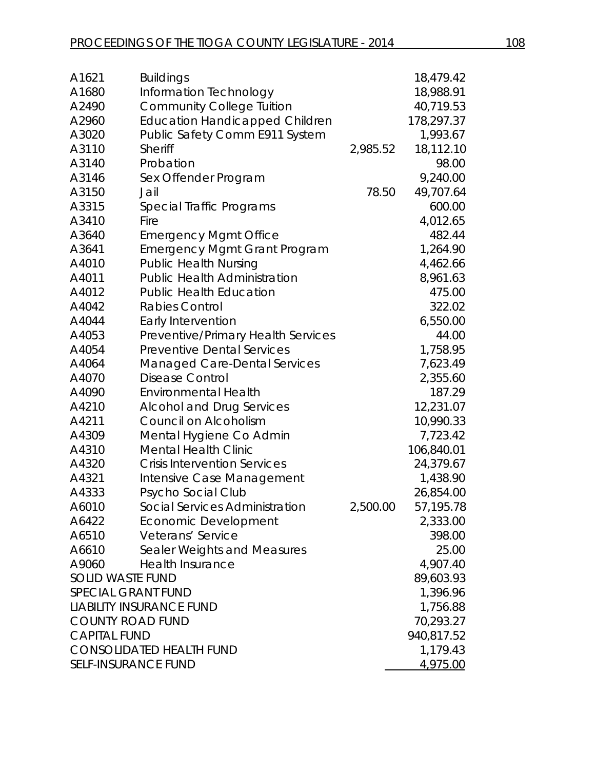| A1621                      | <b>Buildings</b>                      |            | 18,479.42  |
|----------------------------|---------------------------------------|------------|------------|
| A1680                      | Information Technology                |            | 18,988.91  |
| A2490                      | <b>Community College Tuition</b>      |            | 40,719.53  |
| A2960                      | <b>Education Handicapped Children</b> |            | 178,297.37 |
| A3020                      | Public Safety Comm E911 System        |            | 1,993.67   |
| A3110                      | Sheriff                               | 2,985.52   | 18,112.10  |
| A3140                      | Probation                             |            | 98.00      |
| A3146                      | Sex Offender Program                  |            | 9,240.00   |
| A3150                      | Jail                                  | 78.50      | 49,707.64  |
| A3315                      | Special Traffic Programs              |            | 600.00     |
| A3410                      | Fire                                  |            | 4,012.65   |
| A3640                      | <b>Emergency Mgmt Office</b>          |            | 482.44     |
| A3641                      | <b>Emergency Mgmt Grant Program</b>   |            | 1,264.90   |
| A4010                      | <b>Public Health Nursing</b>          |            | 4,462.66   |
| A4011                      | <b>Public Health Administration</b>   |            | 8,961.63   |
| A4012                      | <b>Public Health Education</b>        |            | 475.00     |
| A4042                      | <b>Rabies Control</b>                 |            | 322.02     |
| A4044                      | Early Intervention                    |            | 6,550.00   |
| A4053                      | Preventive/Primary Health Services    |            | 44.00      |
| A4054                      | <b>Preventive Dental Services</b>     |            | 1,758.95   |
| A4064                      | <b>Managed Care-Dental Services</b>   |            | 7,623.49   |
| A4070                      | <b>Disease Control</b>                |            | 2,355.60   |
| A4090                      | <b>Environmental Health</b>           |            | 187.29     |
| A4210                      | <b>Alcohol and Drug Services</b>      |            | 12,231.07  |
| A4211                      | Council on Alcoholism                 |            | 10,990.33  |
| A4309                      | Mental Hygiene Co Admin               |            | 7,723.42   |
| A4310                      | <b>Mental Health Clinic</b>           |            | 106,840.01 |
| A4320                      | <b>Crisis Intervention Services</b>   |            | 24,379.67  |
| A4321                      | Intensive Case Management             |            | 1,438.90   |
| A4333                      | Psycho Social Club                    |            | 26,854.00  |
| A6010                      | Social Services Administration        | 2,500.00   | 57,195.78  |
| A6422                      | Economic Development                  |            | 2,333.00   |
| A6510                      | Veterans' Service                     |            | 398.00     |
| A6610                      | Sealer Weights and Measures           |            | 25.00      |
| A9060                      | <b>Health Insurance</b>               |            | 4,907.40   |
| <b>SOLID WASTE FUND</b>    |                                       |            | 89,603.93  |
| <b>SPECIAL GRANT FUND</b>  |                                       |            | 1,396.96   |
|                            | <b>LIABILITY INSURANCE FUND</b>       |            | 1,756.88   |
| <b>COUNTY ROAD FUND</b>    |                                       | 70,293.27  |            |
| <b>CAPITAL FUND</b>        |                                       | 940,817.52 |            |
|                            | <b>CONSOLIDATED HEALTH FUND</b>       |            | 1,179.43   |
| <b>SELF-INSURANCE FUND</b> |                                       |            | 4,975.00   |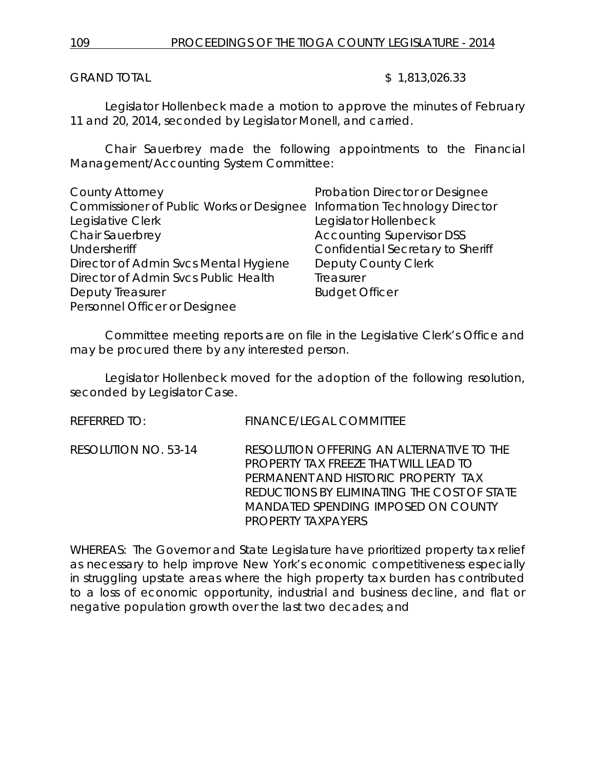GRAND TOTAL \$ 1,813,026.33

Legislator Hollenbeck made a motion to approve the minutes of February 11 and 20, 2014, seconded by Legislator Monell, and carried.

Chair Sauerbrey made the following appointments to the Financial Management/Accounting System Committee:

| <b>County Attorney</b>                   | Probation Director or Designee    |
|------------------------------------------|-----------------------------------|
| Commissioner of Public Works or Designee | Information Technology Director   |
| Legislative Clerk                        | Legislator Hollenbeck             |
| Chair Sauerbrey                          | <b>Accounting Supervisor DSS</b>  |
| <b>Undersheriff</b>                      | Confidential Secretary to Sheriff |
| Director of Admin Svcs Mental Hygiene    | <b>Deputy County Clerk</b>        |
| Director of Admin Svcs Public Health     | Treasurer                         |
| <b>Deputy Treasurer</b>                  | <b>Budget Officer</b>             |
| Personnel Officer or Designee            |                                   |

Committee meeting reports are on file in the Legislative Clerk's Office and may be procured there by any interested person.

Legislator Hollenbeck moved for the adoption of the following resolution, seconded by Legislator Case.

REFERRED TO: FINANCE/LEGAL COMMITTEE

RESOLUTION NO. 53-14 *RESOLUTION OFFERING AN ALTERNATIVE TO THE PROPERTY TAX FREEZE THAT WILL LEAD TO PERMANENT AND HISTORIC PROPERTY TAX REDUCTIONS BY ELIMINATING THE COST OF STATE MANDATED SPENDING IMPOSED ON COUNTY PROPERTY TAXPAYERS* 

WHEREAS: The Governor and State Legislature have prioritized property tax relief as necessary to help improve New York's economic competitiveness especially in struggling upstate areas where the high property tax burden has contributed to a loss of economic opportunity, industrial and business decline, and flat or negative population growth over the last two decades; and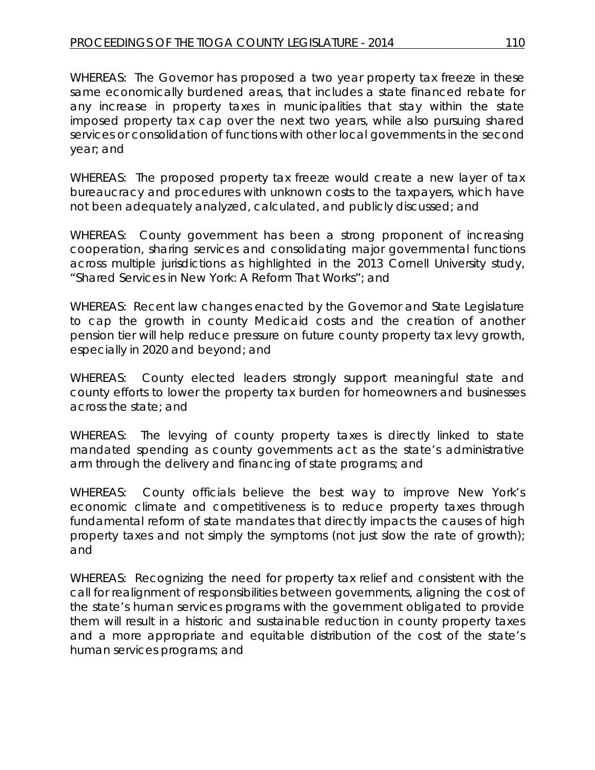WHEREAS: The Governor has proposed a two year property tax freeze in these same economically burdened areas, that includes a state financed rebate for any increase in property taxes in municipalities that stay within the state imposed property tax cap over the next two years, while also pursuing shared services or consolidation of functions with other local governments in the second year; and

WHEREAS: The proposed property tax freeze would create a new layer of tax bureaucracy and procedures with unknown costs to the taxpayers, which have not been adequately analyzed, calculated, and publicly discussed; and

WHEREAS: County government has been a strong proponent of increasing cooperation, sharing services and consolidating major governmental functions across multiple jurisdictions as highlighted in the 2013 Cornell University study, "Shared Services in New York: A Reform That Works"; and

WHEREAS: Recent law changes enacted by the Governor and State Legislature to cap the growth in county Medicaid costs and the creation of another pension tier will help reduce pressure on future county property tax levy growth, especially in 2020 and beyond; and

WHEREAS: County elected leaders strongly support meaningful state and county efforts to lower the property tax burden for homeowners and businesses across the state; and

WHEREAS: The levying of county property taxes is directly linked to state mandated spending as county governments act as the state's administrative arm through the delivery and financing of state programs; and

WHEREAS: County officials believe the best way to improve New York's economic climate and competitiveness is to reduce property taxes through fundamental reform of state mandates that directly impacts the causes of high property taxes and not simply the symptoms (not just slow the rate of growth); and

WHEREAS: Recognizing the need for property tax relief and consistent with the call for realignment of responsibilities between governments, aligning the cost of the state's human services programs with the government obligated to provide them will result in a historic and sustainable reduction in county property taxes and a more appropriate and equitable distribution of the cost of the state's human services programs; and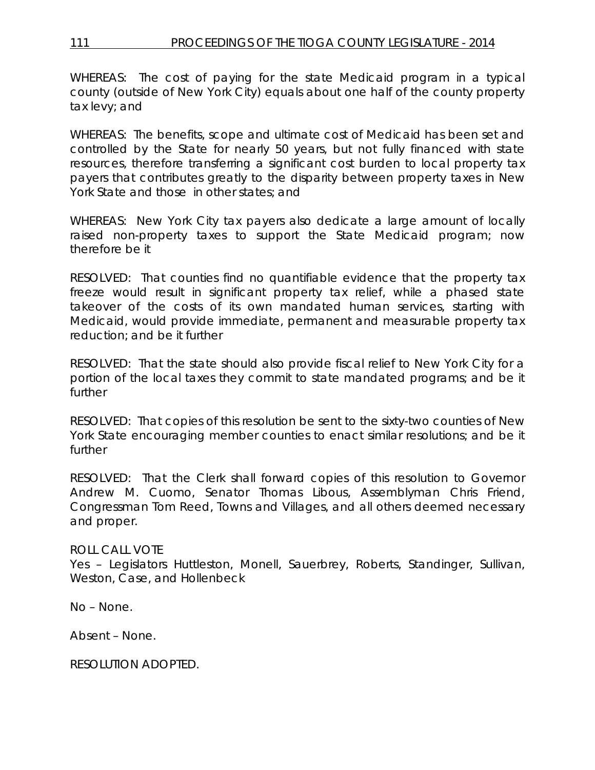WHEREAS: The cost of paying for the state Medicaid program in a typical county (outside of New York City) equals about one half of the county property tax levy; and

WHEREAS: The benefits, scope and ultimate cost of Medicaid has been set and controlled by the State for nearly 50 years, but not fully financed with state resources, therefore transferring a significant cost burden to local property tax payers that contributes greatly to the disparity between property taxes in New York State and those in other states; and

WHEREAS: New York City tax payers also dedicate a large amount of locally raised non-property taxes to support the State Medicaid program; now therefore be it

RESOLVED: That counties find no quantifiable evidence that the property tax freeze would result in significant property tax relief, while a phased state takeover of the costs of its own mandated human services, starting with Medicaid, would provide immediate, permanent and measurable property tax reduction; and be it further

RESOLVED: That the state should also provide fiscal relief to New York City for a portion of the local taxes they commit to state mandated programs; and be it further

RESOLVED: That copies of this resolution be sent to the sixty-two counties of New York State encouraging member counties to enact similar resolutions; and be it further

RESOLVED: That the Clerk shall forward copies of this resolution to Governor Andrew M. Cuomo, Senator Thomas Libous, Assemblyman Chris Friend, Congressman Tom Reed, Towns and Villages, and all others deemed necessary and proper.

# ROLL CALL VOTE

Yes – Legislators Huttleston, Monell, Sauerbrey, Roberts, Standinger, Sullivan, Weston, Case, and Hollenbeck

No – None.

Absent – None.

RESOLUTION ADOPTED.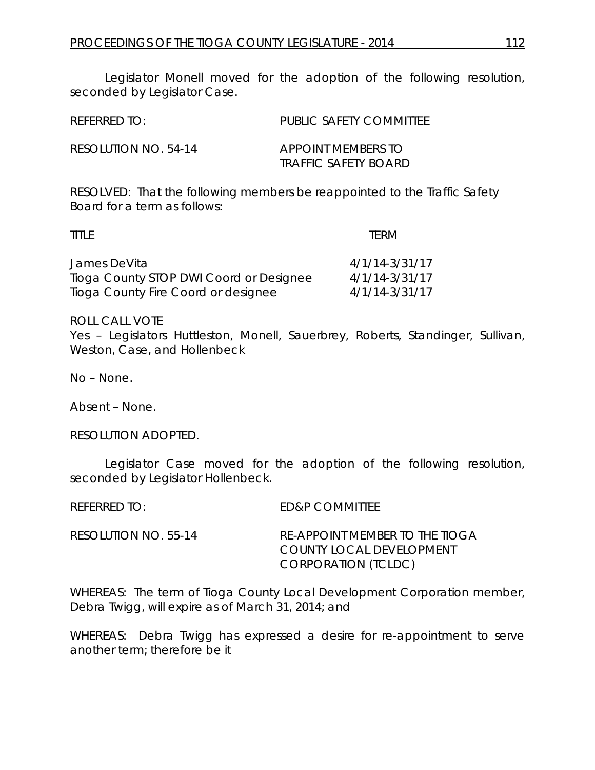Legislator Monell moved for the adoption of the following resolution, seconded by Legislator Case.

| $R$ FFFRRFD TO:      | PUBLIC SAFFTY COMMITTEE                    |
|----------------------|--------------------------------------------|
| RESOLUTION NO. 54-14 | APPOINT MEMBERS TO<br>TRAFFIC SAFETY BOARD |

RESOLVED: That the following members be reappointed to the Traffic Safety Board for a term as follows:

| <b>TITLE</b>                            | TERM               |
|-----------------------------------------|--------------------|
| James DeVita                            | 4/1/14-3/31/17     |
| Tioga County STOP DWI Coord or Designee | $4/1/14 - 3/31/17$ |
| Tioga County Fire Coord or designee     | 4/1/14-3/31/17     |

ROLL CALL VOTE

Yes – Legislators Huttleston, Monell, Sauerbrey, Roberts, Standinger, Sullivan, Weston, Case, and Hollenbeck

No – None.

Absent – None.

RESOLUTION ADOPTED.

Legislator Case moved for the adoption of the following resolution, seconded by Legislator Hollenbeck.

REFERRED TO: ED&P COMMITTEE

RESOLUTION NO. 55-14 *RE-APPOINT MEMBER TO THE TIOGA COUNTY LOCAL DEVELOPMENT CORPORATION (TCLDC)*

WHEREAS: The term of Tioga County Local Development Corporation member, Debra Twigg, will expire as of March 31, 2014; and

WHEREAS: Debra Twigg has expressed a desire for re-appointment to serve another term; therefore be it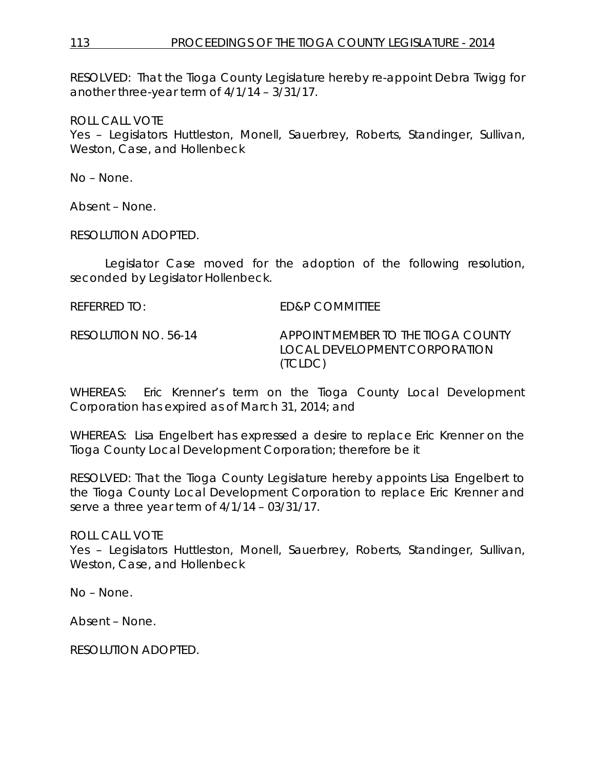# 113 PROCEEDINGS OF THE TIOGA COUNTY LEGISLATURE - 2014

RESOLVED: That the Tioga County Legislature hereby re-appoint Debra Twigg for another three-year term of 4/1/14 – 3/31/17.

ROLL CALL VOTE

Yes – Legislators Huttleston, Monell, Sauerbrey, Roberts, Standinger, Sullivan, Weston, Case, and Hollenbeck

No – None.

Absent – None.

RESOLUTION ADOPTED.

Legislator Case moved for the adoption of the following resolution, seconded by Legislator Hollenbeck.

REFERRED TO: ED&P COMMITTEE RESOLUTION NO. 56-14 *APPOINT MEMBER TO THE TIOGA COUNTY LOCAL DEVELOPMENT CORPORATION (TCLDC)*

WHEREAS: Eric Krenner's term on the Tioga County Local Development Corporation has expired as of March 31, 2014; and

WHEREAS: Lisa Engelbert has expressed a desire to replace Eric Krenner on the Tioga County Local Development Corporation; therefore be it

RESOLVED: That the Tioga County Legislature hereby appoints Lisa Engelbert to the Tioga County Local Development Corporation to replace Eric Krenner and serve a three year term of 4/1/14 – 03/31/17.

ROLL CALL VOTE

Yes – Legislators Huttleston, Monell, Sauerbrey, Roberts, Standinger, Sullivan, Weston, Case, and Hollenbeck

No – None.

Absent – None.

RESOLUTION ADOPTED.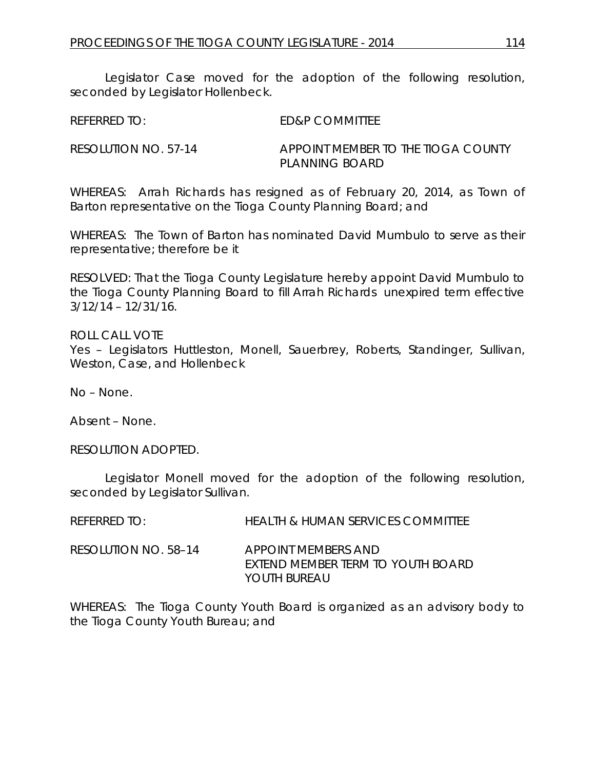Legislator Case moved for the adoption of the following resolution, seconded by Legislator Hollenbeck.

REFERRED TO: ED&P COMMITTEE

RESOLUTION NO. 57-14 *APPOINT MEMBER TO THE TIOGA COUNTY PLANNING BOARD*

WHEREAS: Arrah Richards has resigned as of February 20, 2014, as Town of Barton representative on the Tioga County Planning Board; and

WHEREAS: The Town of Barton has nominated David Mumbulo to serve as their representative; therefore be it

RESOLVED: That the Tioga County Legislature hereby appoint David Mumbulo to the Tioga County Planning Board to fill Arrah Richards unexpired term effective 3/12/14 – 12/31/16.

ROLL CALL VOTE Yes – Legislators Huttleston, Monell, Sauerbrey, Roberts, Standinger, Sullivan, Weston, Case, and Hollenbeck

No – None.

Absent – None.

RESOLUTION ADOPTED.

Legislator Monell moved for the adoption of the following resolution, seconded by Legislator Sullivan.

| REFERRED TO:         | <b>HEALTH &amp; HUMAN SERVICES COMMITTEE</b>                             |
|----------------------|--------------------------------------------------------------------------|
| RESOLUTION NO. 58–14 | APPOINT MEMBERS AND<br>EXTEND MEMBER TERM TO YOUTH BOARD<br>YOUTH BURFAU |

WHEREAS: The Tioga County Youth Board is organized as an advisory body to the Tioga County Youth Bureau; and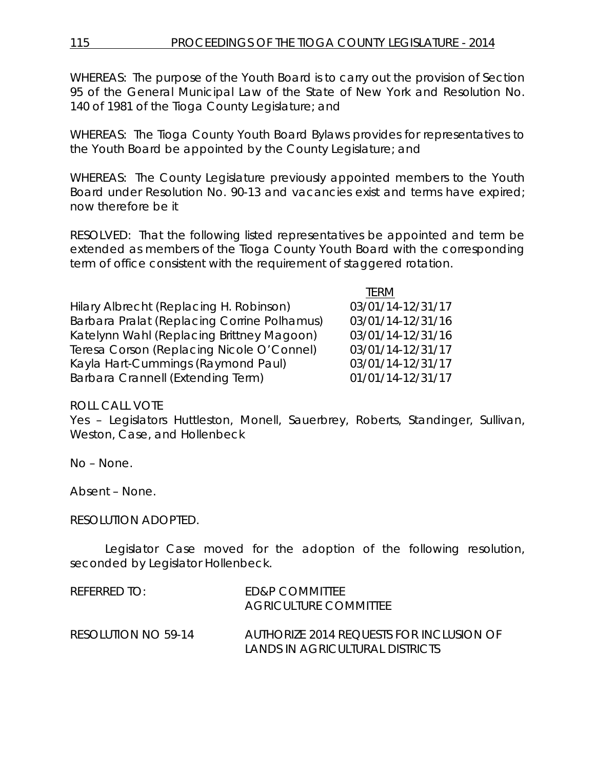WHEREAS: The purpose of the Youth Board is to carry out the provision of Section 95 of the General Municipal Law of the State of New York and Resolution No. 140 of 1981 of the Tioga County Legislature; and

WHEREAS: The Tioga County Youth Board Bylaws provides for representatives to the Youth Board be appointed by the County Legislature; and

WHEREAS: The County Legislature previously appointed members to the Youth Board under Resolution No. 90-13 and vacancies exist and terms have expired; now therefore be it

RESOLVED: That the following listed representatives be appointed and term be extended as members of the Tioga County Youth Board with the corresponding term of office consistent with the requirement of staggered rotation.

TERM

|                                             | .                 |
|---------------------------------------------|-------------------|
| Hilary Albrecht (Replacing H. Robinson)     | 03/01/14-12/31/17 |
| Barbara Pralat (Replacing Corrine Polhamus) | 03/01/14-12/31/16 |
| Katelynn Wahl (Replacing Brittney Magoon)   | 03/01/14-12/31/16 |
| Teresa Corson (Replacing Nicole O'Connel)   | 03/01/14-12/31/17 |
| Kayla Hart-Cummings (Raymond Paul)          | 03/01/14-12/31/17 |
| Barbara Crannell (Extending Term)           | 01/01/14-12/31/17 |

# ROLL CALL VOTE

Yes – Legislators Huttleston, Monell, Sauerbrey, Roberts, Standinger, Sullivan, Weston, Case, and Hollenbeck

No – None.

Absent – None.

# RESOLUTION ADOPTED.

Legislator Case moved for the adoption of the following resolution, seconded by Legislator Hollenbeck.

| REFERRED TO:        | <b>FD&amp;P COMMITTEE</b><br>AGRICULTURE COMMITTEE                          |
|---------------------|-----------------------------------------------------------------------------|
| RESOLUTION NO 59-14 | AUTHORIZE 2014 REQUESTS FOR INCLUSION OF<br>LANDS IN AGRICULTURAL DISTRICTS |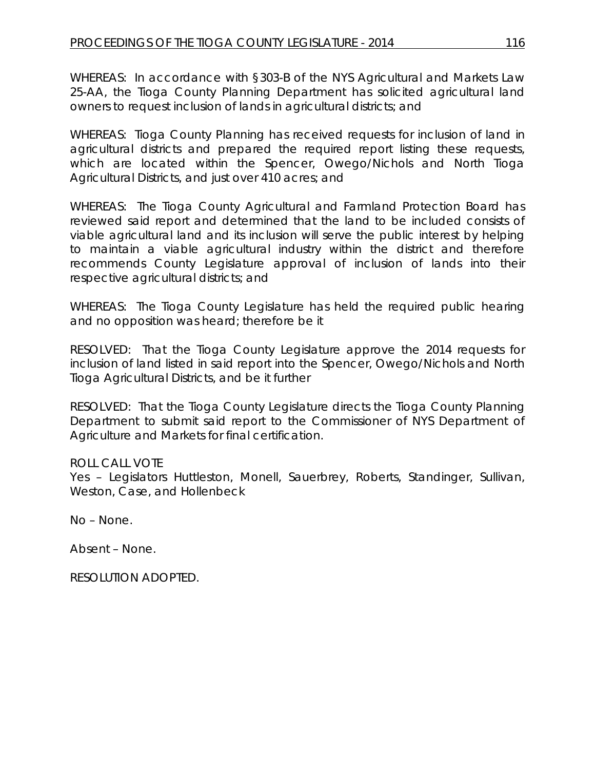WHEREAS: In accordance with §303-B of the NYS Agricultural and Markets Law 25-AA, the Tioga County Planning Department has solicited agricultural land owners to request inclusion of lands in agricultural districts; and

WHEREAS: Tioga County Planning has received requests for inclusion of land in agricultural districts and prepared the required report listing these requests, which are located within the Spencer, Owego/Nichols and North Tioga Agricultural Districts, and just over 410 acres; and

WHEREAS: The Tioga County Agricultural and Farmland Protection Board has reviewed said report and determined that the land to be included consists of viable agricultural land and its inclusion will serve the public interest by helping to maintain a viable agricultural industry within the district and therefore recommends County Legislature approval of inclusion of lands into their respective agricultural districts; and

WHEREAS: The Tioga County Legislature has held the required public hearing and no opposition was heard; therefore be it

RESOLVED: That the Tioga County Legislature approve the 2014 requests for inclusion of land listed in said report into the Spencer, Owego/Nichols and North Tioga Agricultural Districts, and be it further

RESOLVED: That the Tioga County Legislature directs the Tioga County Planning Department to submit said report to the Commissioner of NYS Department of Agriculture and Markets for final certification.

# ROLL CALL VOTE

Yes – Legislators Huttleston, Monell, Sauerbrey, Roberts, Standinger, Sullivan, Weston, Case, and Hollenbeck

No – None.

Absent – None.

RESOLUTION ADOPTED.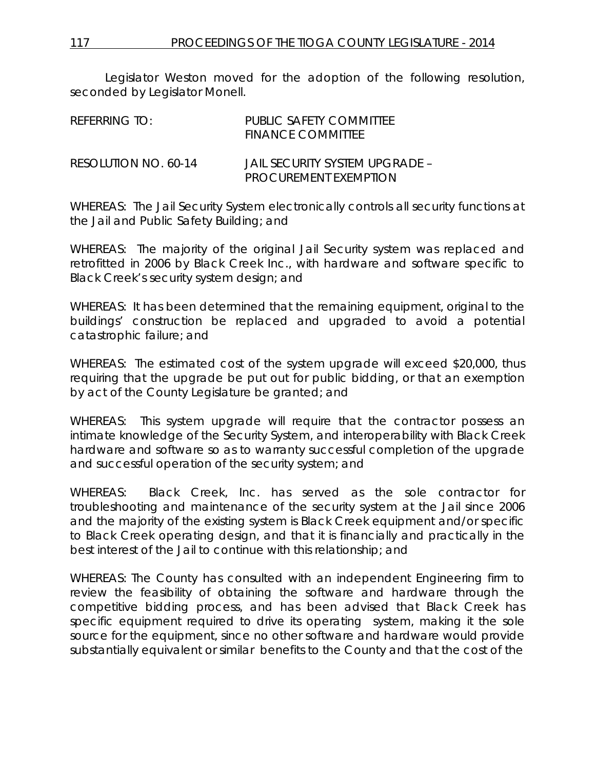Legislator Weston moved for the adoption of the following resolution, seconded by Legislator Monell.

| REFERRING TO:        | PUBLIC SAFFTY COMMITTEF<br><b>FINANCE COMMITTEE</b>            |
|----------------------|----------------------------------------------------------------|
| RESOLUTION NO. 60-14 | JAIL SECURITY SYSTEM UPGRADE –<br><b>PROCUREMENT EXEMPTION</b> |

WHEREAS: The Jail Security System electronically controls all security functions at the Jail and Public Safety Building; and

WHEREAS: The majority of the original Jail Security system was replaced and retrofitted in 2006 by Black Creek Inc., with hardware and software specific to Black Creek's security system design; and

WHEREAS: It has been determined that the remaining equipment, original to the buildings' construction be replaced and upgraded to avoid a potential catastrophic failure; and

WHEREAS: The estimated cost of the system upgrade will exceed \$20,000, thus requiring that the upgrade be put out for public bidding, or that an exemption by act of the County Legislature be granted; and

WHEREAS: This system upgrade will require that the contractor possess an intimate knowledge of the Security System, and interoperability with Black Creek hardware and software so as to warranty successful completion of the upgrade and successful operation of the security system; and

WHEREAS: Black Creek, Inc. has served as the sole contractor for troubleshooting and maintenance of the security system at the Jail since 2006 and the majority of the existing system is Black Creek equipment and/or specific to Black Creek operating design, and that it is financially and practically in the best interest of the Jail to continue with this relationship; and

WHEREAS: The County has consulted with an independent Engineering firm to review the feasibility of obtaining the software and hardware through the competitive bidding process, and has been advised that Black Creek has specific equipment required to drive its operating system, making it the sole source for the equipment, since no other software and hardware would provide substantially equivalent or similar benefits to the County and that the cost of the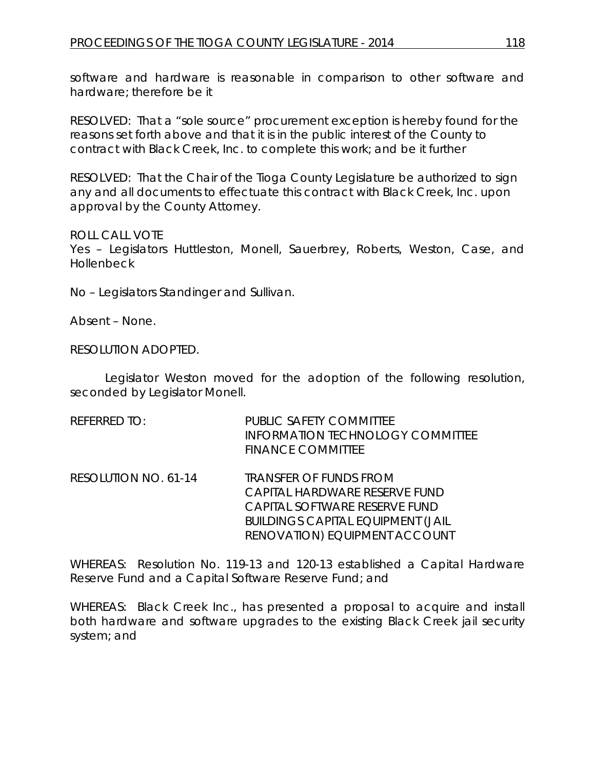software and hardware is reasonable in comparison to other software and hardware; therefore be it

RESOLVED: That a "sole source" procurement exception is hereby found for the reasons set forth above and that it is in the public interest of the County to contract with Black Creek, Inc. to complete this work; and be it further

RESOLVED: That the Chair of the Tioga County Legislature be authorized to sign any and all documents to effectuate this contract with Black Creek, Inc. upon approval by the County Attorney.

ROLL CALL VOTE

Yes – Legislators Huttleston, Monell, Sauerbrey, Roberts, Weston, Case, and Hollenbeck

No – Legislators Standinger and Sullivan.

Absent – None.

RESOLUTION ADOPTED.

Legislator Weston moved for the adoption of the following resolution, seconded by Legislator Monell.

| REFERRED TO:         | PUBLIC SAFETY COMMITTEE<br><b>INFORMATION TECHNOLOGY COMMITTEE</b><br><b>FINANCE COMMITTEE</b>  |
|----------------------|-------------------------------------------------------------------------------------------------|
| RESOLUTION NO. 61-14 | <b>TRANSFER OF FUNDS FROM</b><br>CAPITAL HARDWARE RESERVE FUND<br>CAPITAL SOFTWARE RESERVE FUND |

WHEREAS: Resolution No. 119-13 and 120-13 established a Capital Hardware Reserve Fund and a Capital Software Reserve Fund; and

*BUILDINGS CAPITAL EQUIPMENT (JAIL RENOVATION) EQUIPMENT ACCOUNT*

WHEREAS: Black Creek Inc., has presented a proposal to acquire and install both hardware and software upgrades to the existing Black Creek jail security system; and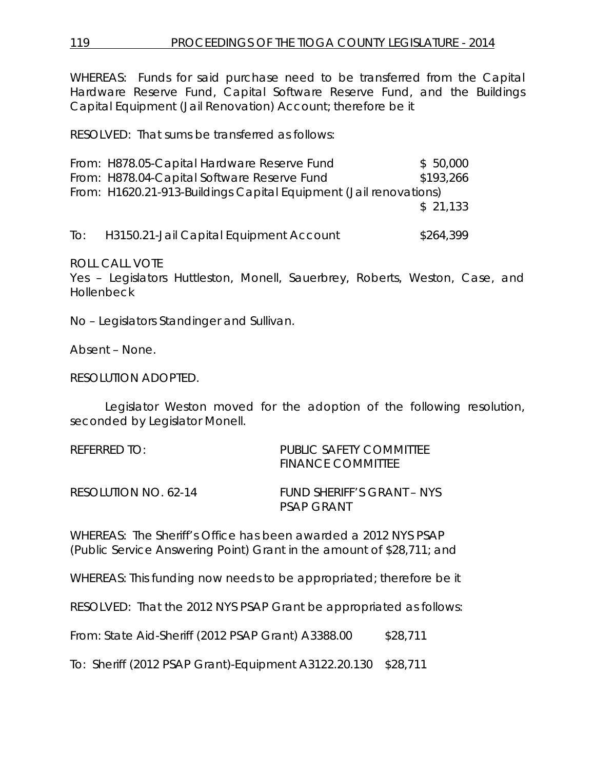WHEREAS: Funds for said purchase need to be transferred from the Capital Hardware Reserve Fund, Capital Software Reserve Fund, and the Buildings Capital Equipment (Jail Renovation) Account; therefore be it

RESOLVED: That sums be transferred as follows:

|     | From: H878.05-Capital Hardware Reserve Fund                       | \$50,000  |
|-----|-------------------------------------------------------------------|-----------|
|     | From: H878.04-Capital Software Reserve Fund                       | \$193,266 |
|     | From: H1620.21-913-Buildings Capital Equipment (Jail renovations) |           |
|     |                                                                   | \$21.133  |
|     |                                                                   |           |
| To: | H3150.21-Jail Capital Equipment Account                           | \$264,399 |

ROLL CALL VOTE

Yes – Legislators Huttleston, Monell, Sauerbrey, Roberts, Weston, Case, and **Hollenbeck** 

No – Legislators Standinger and Sullivan.

Absent – None.

RESOLUTION ADOPTED.

Legislator Weston moved for the adoption of the following resolution, seconded by Legislator Monell.

| REFERRED TO:         | PUBLIC SAFETY COMMITTEE<br><b>FINANCE COMMITTEE</b> |
|----------------------|-----------------------------------------------------|
| RESOLUTION NO. 62-14 | FUND SHERIFF'S GRANT – NYS<br>PSAP GRANT            |

WHEREAS: The Sheriff's Office has been awarded a 2012 NYS PSAP (Public Service Answering Point) Grant in the amount of \$28,711; and

WHEREAS: This funding now needs to be appropriated; therefore be it

RESOLVED: That the 2012 NYS PSAP Grant be appropriated as follows:

From: State Aid-Sheriff (2012 PSAP Grant) A3388.00 \$28,711

To: Sheriff (2012 PSAP Grant)-Equipment A3122.20.130 \$28,711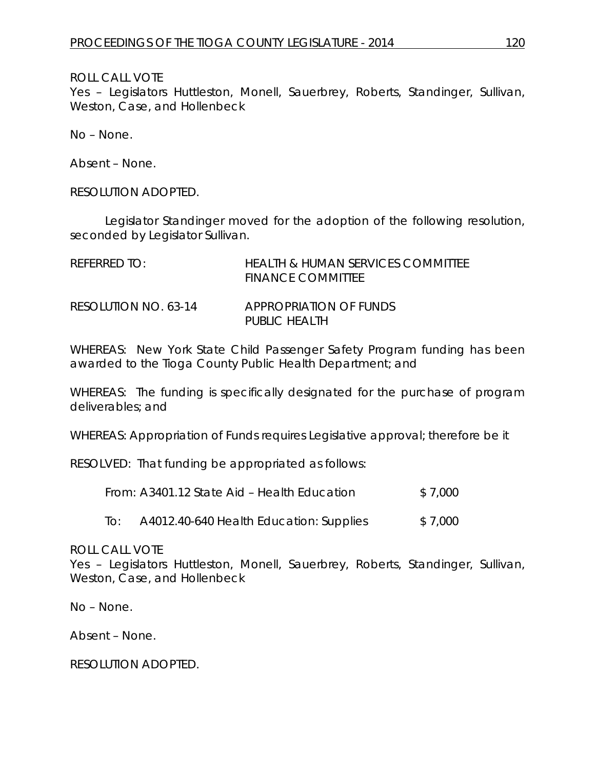ROLL CALL VOTE

Yes – Legislators Huttleston, Monell, Sauerbrey, Roberts, Standinger, Sullivan, Weston, Case, and Hollenbeck

No – None.

Absent – None.

RESOLUTION ADOPTED.

Legislator Standinger moved for the adoption of the following resolution, seconded by Legislator Sullivan.

| REFERRED TO:         | <b>HEALTH &amp; HUMAN SERVICES COMMITTEE</b><br>FINANCE COMMITTEE |
|----------------------|-------------------------------------------------------------------|
| RESOLUTION NO. 63-14 | APPROPRIATION OF FUNDS<br>PUBLIC HEALTH                           |

WHEREAS: New York State Child Passenger Safety Program funding has been awarded to the Tioga County Public Health Department; and

WHEREAS: The funding is specifically designated for the purchase of program deliverables; and

WHEREAS: Appropriation of Funds requires Legislative approval; therefore be it

RESOLVED: That funding be appropriated as follows:

|     | From: A3401.12 State Aid – Health Education | \$7.000 |
|-----|---------------------------------------------|---------|
| To: | A4012.40-640 Health Education: Supplies     | \$7,000 |

ROLL CALL VOTE

Yes – Legislators Huttleston, Monell, Sauerbrey, Roberts, Standinger, Sullivan, Weston, Case, and Hollenbeck

No – None.

Absent – None.

RESOLUTION ADOPTED.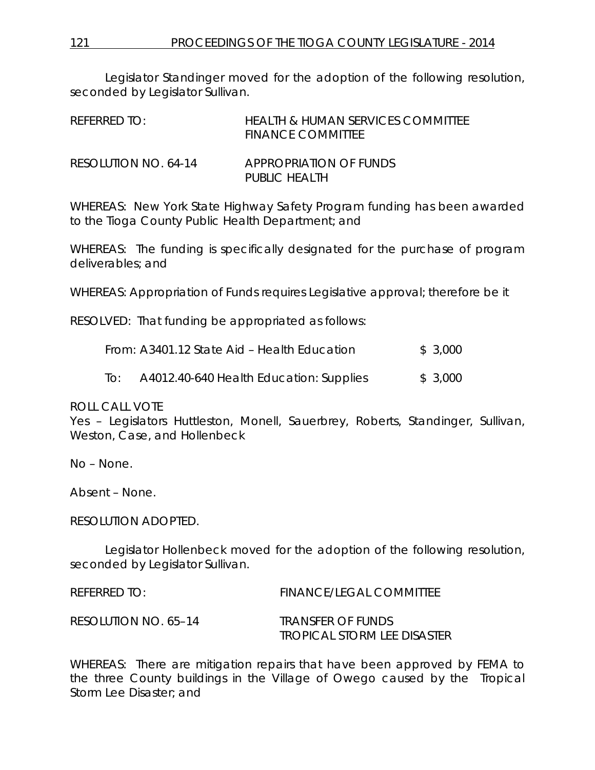Legislator Standinger moved for the adoption of the following resolution, seconded by Legislator Sullivan.

| REFERRED TO:         | HEALTH & HUMAN SERVICES COMMITTEE<br>FINANCE COMMITTEE |
|----------------------|--------------------------------------------------------|
| RESOLUTION NO. 64-14 | APPROPRIATION OF FUNDS<br>PUBLIC HEALTH                |

WHEREAS: New York State Highway Safety Program funding has been awarded to the Tioga County Public Health Department; and

WHEREAS: The funding is specifically designated for the purchase of program deliverables; and

WHEREAS: Appropriation of Funds requires Legislative approval; therefore be it

RESOLVED: That funding be appropriated as follows:

|     | From: A3401.12 State Aid – Health Education | \$3,000 |
|-----|---------------------------------------------|---------|
| To: | A4012.40-640 Health Education: Supplies     | \$3,000 |

ROLL CALL VOTE

Yes – Legislators Huttleston, Monell, Sauerbrey, Roberts, Standinger, Sullivan, Weston, Case, and Hollenbeck

No – None.

Absent – None.

RESOLUTION ADOPTED.

Legislator Hollenbeck moved for the adoption of the following resolution, seconded by Legislator Sullivan.

| REFERRED TO:         | <b>FINANCE/LEGAL COMMITTEE</b>     |
|----------------------|------------------------------------|
| RESOLUTION NO. 65–14 | TRANSFER OF FUNDS                  |
|                      | <b>TROPICAL STORM LEE DISASTER</b> |

WHEREAS: There are mitigation repairs that have been approved by FEMA to the three County buildings in the Village of Owego caused by the Tropical Storm Lee Disaster; and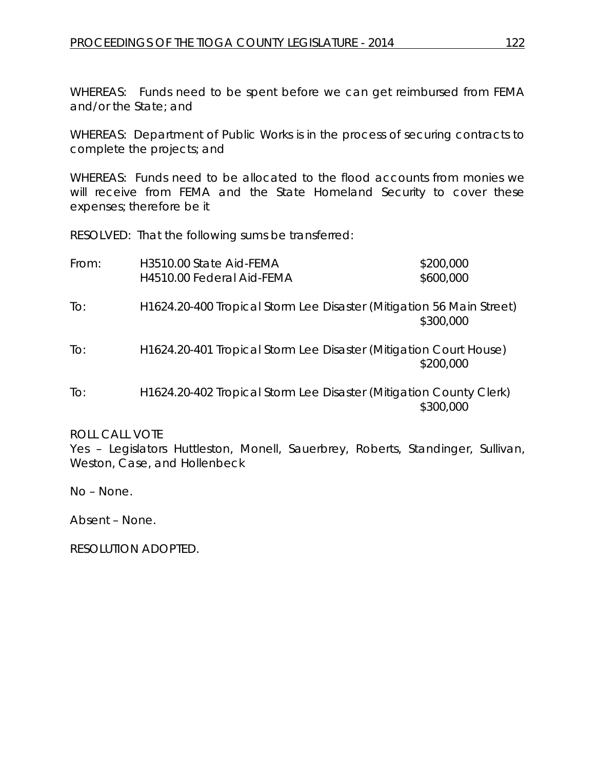WHEREAS: Funds need to be spent before we can get reimbursed from FEMA and/or the State; and

WHEREAS: Department of Public Works is in the process of securing contracts to complete the projects; and

WHEREAS: Funds need to be allocated to the flood accounts from monies we will receive from FEMA and the State Homeland Security to cover these expenses; therefore be it

RESOLVED: That the following sums be transferred:

| From: | H3510.00 State Aid-FEMA<br>H4510.00 Federal Aid-FEMA                 | \$200,000<br>\$600,000 |
|-------|----------------------------------------------------------------------|------------------------|
| To:   | H1624.20-400 Tropical Storm Lee Disaster (Mitigation 56 Main Street) | \$300,000              |
| To:   | H1624.20-401 Tropical Storm Lee Disaster (Mitigation Court House)    | \$200,000              |
| To:   | H1624.20-402 Tropical Storm Lee Disaster (Mitigation County Clerk)   | \$300,000              |

ROLL CALL VOTE

Yes – Legislators Huttleston, Monell, Sauerbrey, Roberts, Standinger, Sullivan, Weston, Case, and Hollenbeck

No – None.

Absent – None.

RESOLUTION ADOPTED.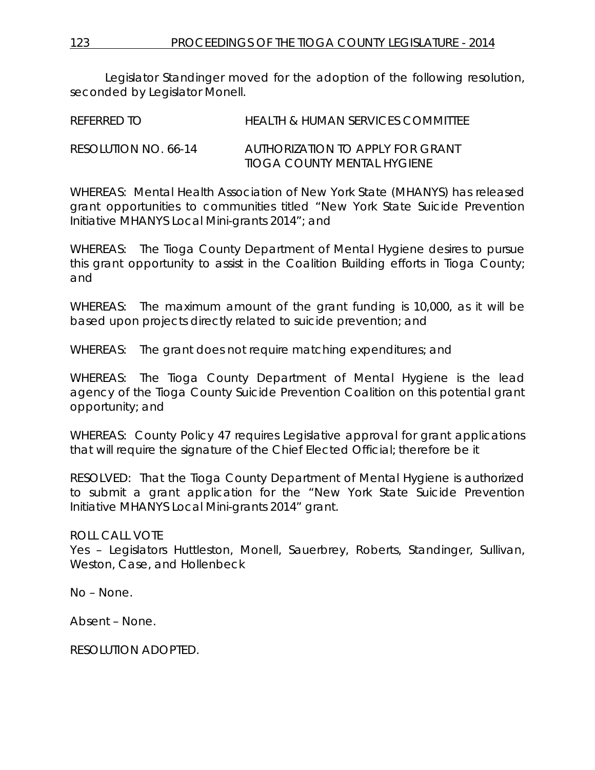Legislator Standinger moved for the adoption of the following resolution, seconded by Legislator Monell.

REFERRED TO HEALTH & HUMAN SERVICES COMMITTEE RESOLUTION NO. 66-14 *AUTHORIZATION TO APPLY FOR GRANT TIOGA COUNTY MENTAL HYGIENE*

WHEREAS: Mental Health Association of New York State (MHANYS) has released grant opportunities to communities titled "New York State Suicide Prevention Initiative MHANYS Local Mini-grants 2014"; and

WHEREAS: The Tioga County Department of Mental Hygiene desires to pursue this grant opportunity to assist in the Coalition Building efforts in Tioga County; and

WHEREAS: The maximum amount of the grant funding is 10,000, as it will be based upon projects directly related to suicide prevention; and

WHEREAS: The grant does not require matching expenditures; and

WHEREAS: The Tioga County Department of Mental Hygiene is the lead agency of the Tioga County Suicide Prevention Coalition on this potential grant opportunity; and

WHEREAS: County Policy 47 requires Legislative approval for grant applications that will require the signature of the Chief Elected Official; therefore be it

RESOLVED: That the Tioga County Department of Mental Hygiene is authorized to submit a grant application for the "New York State Suicide Prevention Initiative MHANYS Local Mini-grants 2014" grant.

ROLL CALL VOTE

Yes – Legislators Huttleston, Monell, Sauerbrey, Roberts, Standinger, Sullivan, Weston, Case, and Hollenbeck

No – None.

Absent – None.

RESOLUTION ADOPTED.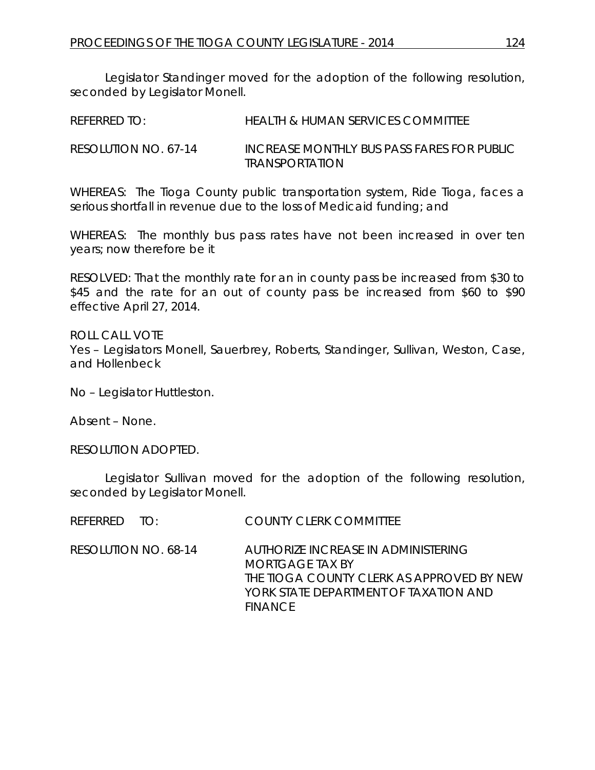Legislator Standinger moved for the adoption of the following resolution, seconded by Legislator Monell.

| REFERRED TO:         | HEALTH & HUMAN SERVICES COMMITTEE          |
|----------------------|--------------------------------------------|
| RESOLUTION NO. 67-14 | INCREASE MONTHLY BUS PASS FARES FOR PUBLIC |

WHEREAS: The Tioga County public transportation system, Ride Tioga, faces a serious shortfall in revenue due to the loss of Medicaid funding; and

*TRANSPORTATION*

WHEREAS: The monthly bus pass rates have not been increased in over ten years; now therefore be it

RESOLVED: That the monthly rate for an in county pass be increased from \$30 to \$45 and the rate for an out of county pass be increased from \$60 to \$90 effective April 27, 2014.

ROLL CALL VOTE Yes – Legislators Monell, Sauerbrey, Roberts, Standinger, Sullivan, Weston, Case, and Hollenbeck

No – Legislator Huttleston.

Absent – None.

RESOLUTION ADOPTED.

Legislator Sullivan moved for the adoption of the following resolution, seconded by Legislator Monell.

| REFERRED TO:         | <b>COUNTY CLERK COMMITTEE</b>                                                                                                                                  |
|----------------------|----------------------------------------------------------------------------------------------------------------------------------------------------------------|
| RESOLUTION NO. 68-14 | AUTHORIZE INCREASE IN ADMINISTERING<br>MORIGAGE TAX BY<br>THE TIOGA COUNTY CLERK AS APPROVED BY NEW<br>YORK STATE DEPARTMENT OF TAXATION AND<br><b>FINANCE</b> |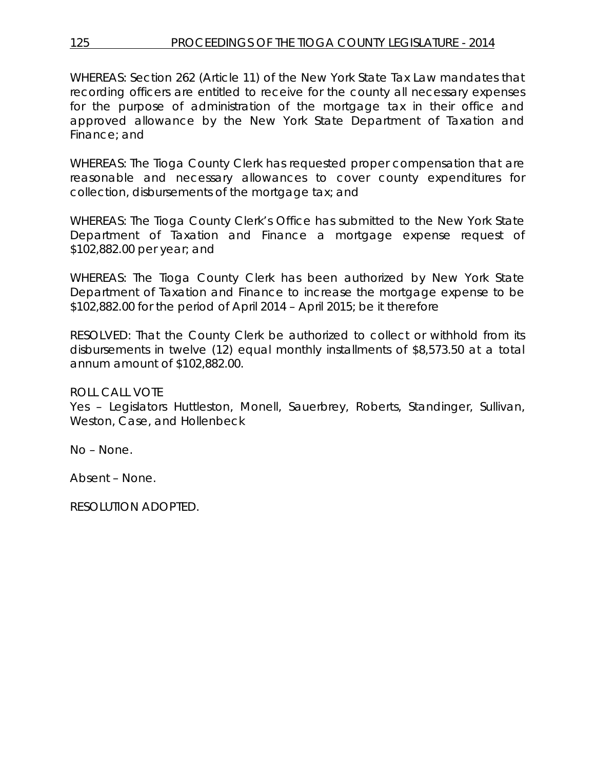# 125 PROCEEDINGS OF THE TIOGA COUNTY LEGISLATURE - 2014

WHEREAS: Section 262 (Article 11) of the New York State Tax Law mandates that recording officers are entitled to receive for the county all necessary expenses for the purpose of administration of the mortgage tax in their office and approved allowance by the New York State Department of Taxation and Finance; and

WHEREAS: The Tioga County Clerk has requested proper compensation that are reasonable and necessary allowances to cover county expenditures for collection, disbursements of the mortgage tax; and

WHEREAS: The Tioga County Clerk's Office has submitted to the New York State Department of Taxation and Finance a mortgage expense request of \$102,882.00 per year; and

WHEREAS: The Tioga County Clerk has been authorized by New York State Department of Taxation and Finance to increase the mortgage expense to be \$102,882.00 for the period of April 2014 – April 2015; be it therefore

RESOLVED: That the County Clerk be authorized to collect or withhold from its disbursements in twelve (12) equal monthly installments of \$8,573.50 at a total annum amount of \$102,882.00.

ROLL CALL VOTE

Yes – Legislators Huttleston, Monell, Sauerbrey, Roberts, Standinger, Sullivan, Weston, Case, and Hollenbeck

No – None.

Absent – None.

RESOLUTION ADOPTED.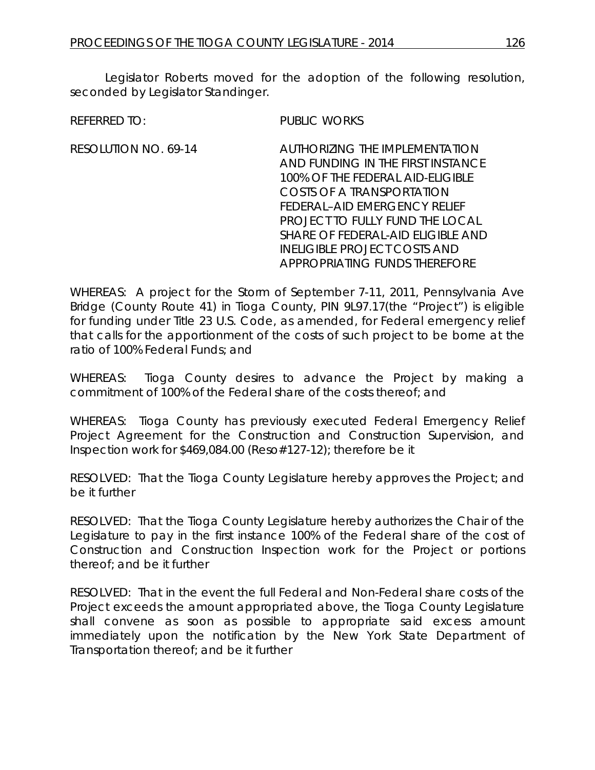Legislator Roberts moved for the adoption of the following resolution, seconded by Legislator Standinger.

REFERRED TO: PUBLIC WORKS

RESOLUTION NO. 69-14 *AUTHORIZING THE IMPLEMENTATION AND FUNDING IN THE FIRST INSTANCE 100% OF THE FEDERAL AID-ELIGIBLE COSTS OF A TRANSPORTATION FEDERAL–AID EMERGENCY RELIEF PROJECT TO FULLY FUND THE LOCAL SHARE OF FEDERAL-AID ELIGIBLE AND INELIGIBLE PROJECT COSTS AND APPROPRIATING FUNDS THEREFORE*

WHEREAS: A project for the Storm of September 7-11, 2011, Pennsylvania Ave Bridge (County Route 41) in Tioga County, PIN 9L97.17(the "Project") is eligible for funding under Title 23 U.S. Code, as amended, for Federal emergency relief that calls for the apportionment of the costs of such project to be borne at the ratio of 100% Federal Funds; and

WHEREAS: Tioga County desires to advance the Project by making a commitment of 100% of the Federal share of the costs thereof; and

WHEREAS: Tioga County has previously executed Federal Emergency Relief Project Agreement for the Construction and Construction Supervision, and Inspection work for \$469,084.00 (Reso#127-12); therefore be it

RESOLVED: That the Tioga County Legislature hereby approves the Project; and be it further

RESOLVED: That the Tioga County Legislature hereby authorizes the Chair of the Legislature to pay in the first instance 100% of the Federal share of the cost of Construction and Construction Inspection work for the Project or portions thereof; and be it further

RESOLVED: That in the event the full Federal and Non-Federal share costs of the Project exceeds the amount appropriated above, the Tioga County Legislature shall convene as soon as possible to appropriate said excess amount immediately upon the notification by the New York State Department of Transportation thereof; and be it further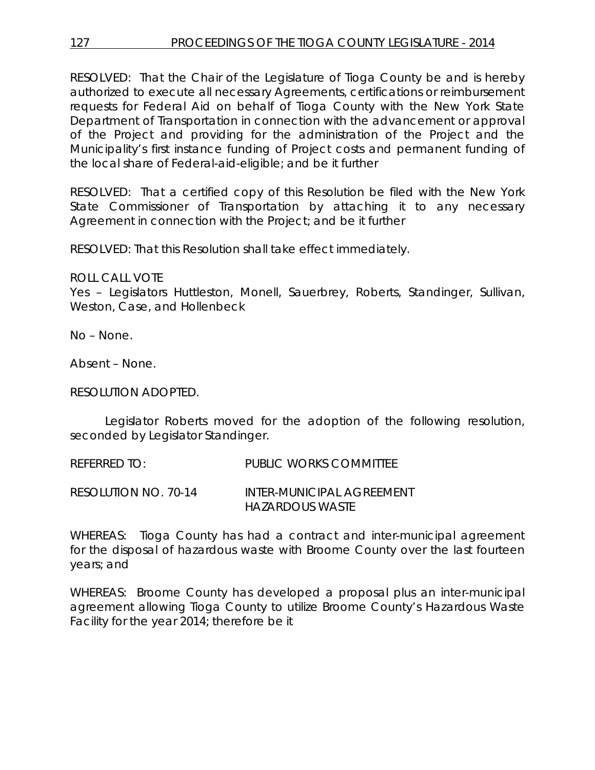RESOLVED: That the Chair of the Legislature of Tioga County be and is hereby authorized to execute all necessary Agreements, certifications or reimbursement requests for Federal Aid on behalf of Tioga County with the New York State Department of Transportation in connection with the advancement or approval of the Project and providing for the administration of the Project and the Municipality's first instance funding of Project costs and permanent funding of the local share of Federal-aid-eligible; and be it further

RESOLVED: That a certified copy of this Resolution be filed with the New York State Commissioner of Transportation by attaching it to any necessary Agreement in connection with the Project; and be it further

RESOLVED: That this Resolution shall take effect immediately.

ROLL CALL VOTE

Yes – Legislators Huttleston, Monell, Sauerbrey, Roberts, Standinger, Sullivan, Weston, Case, and Hollenbeck

No – None.

Absent – None.

RESOLUTION ADOPTED.

Legislator Roberts moved for the adoption of the following resolution, seconded by Legislator Standinger.

REFERRED TO: PUBLIC WORKS COMMITTEE RESOLUTION NO. 70-14 *INTER-MUNICIPAL AGREEMENT* 

*HAZARDOUS WASTE*

WHEREAS: Tioga County has had a contract and inter-municipal agreement for the disposal of hazardous waste with Broome County over the last fourteen years; and

WHEREAS: Broome County has developed a proposal plus an inter-municipal agreement allowing Tioga County to utilize Broome County's Hazardous Waste Facility for the year 2014; therefore be it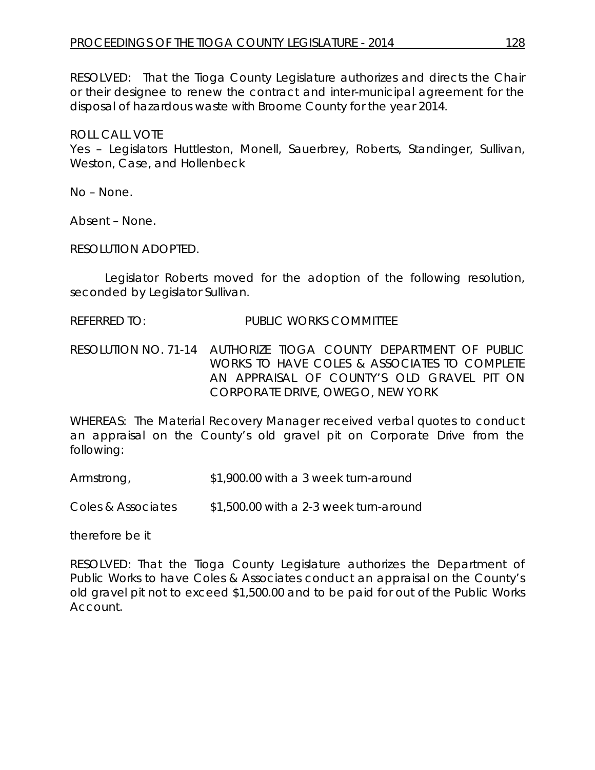RESOLVED: That the Tioga County Legislature authorizes and directs the Chair or their designee to renew the contract and inter-municipal agreement for the disposal of hazardous waste with Broome County for the year 2014.

ROLL CALL VOTE

Yes – Legislators Huttleston, Monell, Sauerbrey, Roberts, Standinger, Sullivan, Weston, Case, and Hollenbeck

No – None.

Absent – None.

RESOLUTION ADOPTED.

Legislator Roberts moved for the adoption of the following resolution, seconded by Legislator Sullivan.

REFERRED TO: PUBLIC WORKS COMMITTEE

RESOLUTION NO. 71-14 *AUTHORIZE TIOGA COUNTY DEPARTMENT OF PUBLIC WORKS TO HAVE COLES & ASSOCIATES TO COMPLETE AN APPRAISAL OF COUNTY'S OLD GRAVEL PIT ON CORPORATE DRIVE, OWEGO, NEW YORK*

WHEREAS: The Material Recovery Manager received verbal quotes to conduct an appraisal on the County's old gravel pit on Corporate Drive from the following:

Armstrong, \$1,900.00 with a 3 week turn-around

Coles & Associates \$1,500.00 with a 2-3 week turn-around

therefore be it

RESOLVED: That the Tioga County Legislature authorizes the Department of Public Works to have Coles & Associates conduct an appraisal on the County's old gravel pit not to exceed \$1,500.00 and to be paid for out of the Public Works Account.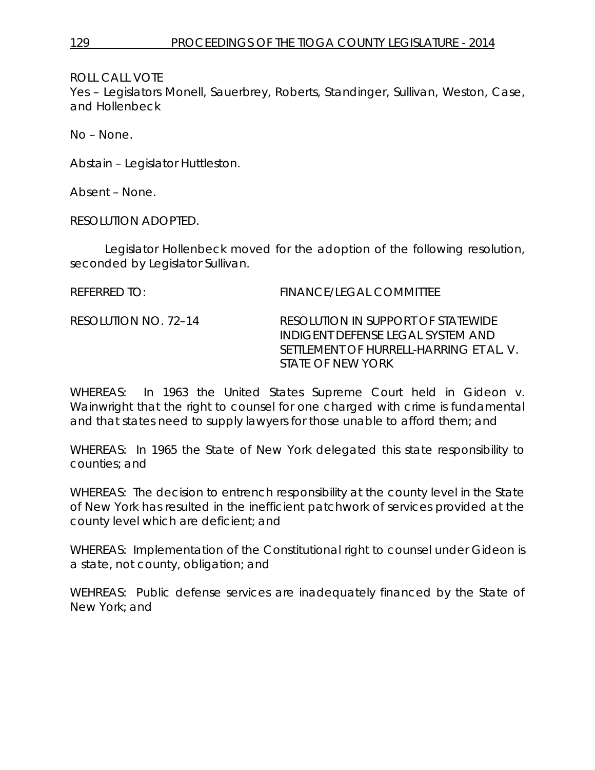ROLL CALL VOTE

Yes – Legislators Monell, Sauerbrey, Roberts, Standinger, Sullivan, Weston, Case, and Hollenbeck

No – None.

Abstain – Legislator Huttleston.

Absent – None.

RESOLUTION ADOPTED.

Legislator Hollenbeck moved for the adoption of the following resolution, seconded by Legislator Sullivan.

| REFERRED TO:         | FINANCE/LEGAL COMMITTEE                                                                                            |
|----------------------|--------------------------------------------------------------------------------------------------------------------|
| RESOLUTION NO. 72–14 | RESOLUTION IN SUPPORT OF STATEWIDE<br>INDIGENT DEFENSE LEGAL SYSTEM AND<br>SETTLEMENT OF HURRELL-HARRING ET AL. V. |
|                      | STATE OF NEW YORK                                                                                                  |

WHEREAS: In 1963 the United States Supreme Court held in Gideon v. Wainwright that the right to counsel for one charged with crime is fundamental and that states need to supply lawyers for those unable to afford them; and

WHEREAS: In 1965 the State of New York delegated this state responsibility to counties; and

WHEREAS: The decision to entrench responsibility at the county level in the State of New York has resulted in the inefficient patchwork of services provided at the county level which are deficient; and

WHEREAS: Implementation of the Constitutional right to counsel under Gideon is a state, not county, obligation; and

WEHREAS: Public defense services are inadequately financed by the State of New York; and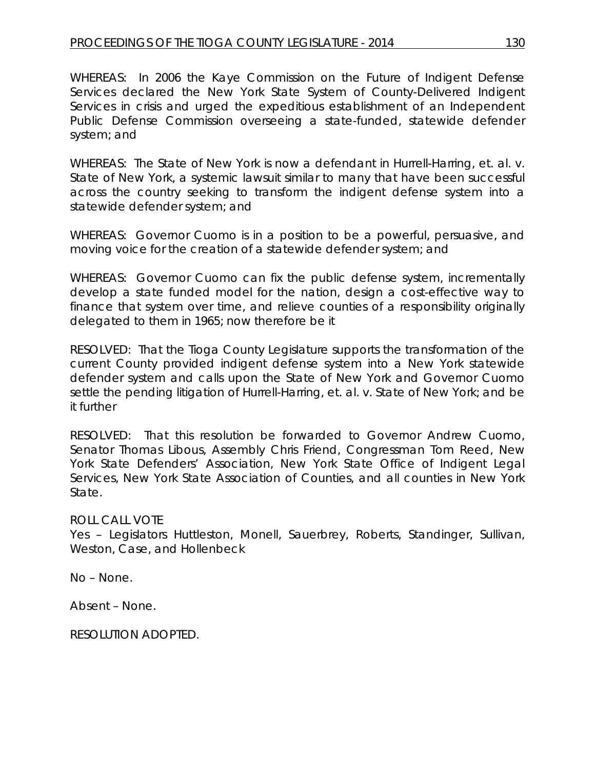WHEREAS: In 2006 the Kaye Commission on the Future of Indigent Defense Services declared the New York State System of County-Delivered Indigent Services in crisis and urged the expeditious establishment of an Independent Public Defense Commission overseeing a state-funded, statewide defender system; and

WHEREAS: The State of New York is now a defendant in Hurrell-Harring, et. al. v. State of New York, a systemic lawsuit similar to many that have been successful across the country seeking to transform the indigent defense system into a statewide defender system; and

WHEREAS: Governor Cuomo is in a position to be a powerful, persuasive, and moving voice for the creation of a statewide defender system; and

WHEREAS: Governor Cuomo can fix the public defense system, incrementally develop a state funded model for the nation, design a cost-effective way to finance that system over time, and relieve counties of a responsibility originally delegated to them in 1965; now therefore be it

RESOLVED: That the Tioga County Legislature supports the transformation of the current County provided indigent defense system into a New York statewide defender system and calls upon the State of New York and Governor Cuomo settle the pending litigation of Hurrell-Harring, et. al. v. State of New York; and be it further

RESOLVED: That this resolution be forwarded to Governor Andrew Cuomo, Senator Thomas Libous, Assembly Chris Friend, Congressman Tom Reed, New York State Defenders' Association, New York State Office of Indigent Legal Services, New York State Association of Counties, and all counties in New York State.

# ROLL CALL VOTE

Yes – Legislators Huttleston, Monell, Sauerbrey, Roberts, Standinger, Sullivan, Weston, Case, and Hollenbeck

No – None.

Absent – None.

RESOLUTION ADOPTED.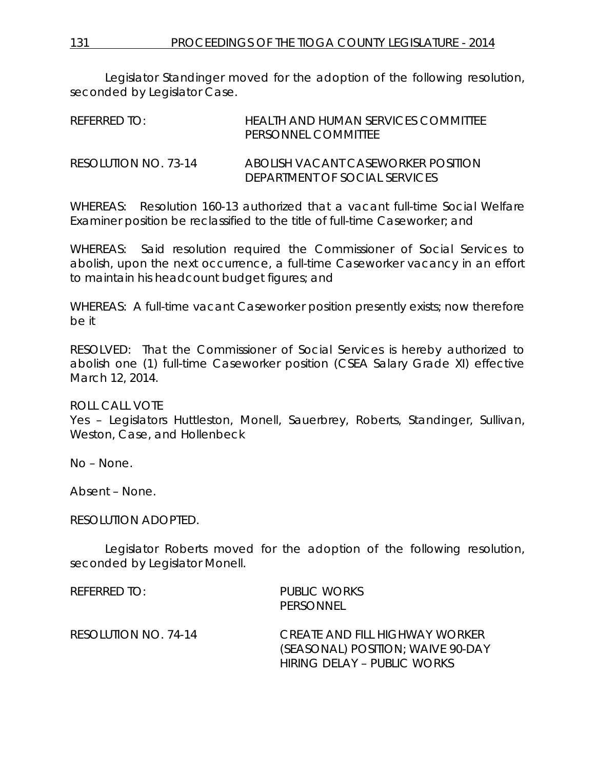131 PROCEEDINGS OF THE TIOGA COUNTY LEGISLATURE - 2014

Legislator Standinger moved for the adoption of the following resolution, seconded by Legislator Case.

| REFERRED TO:         | HEALTH AND HUMAN SERVICES COMMITTEE<br>PERSONNEL COMMITTEE          |
|----------------------|---------------------------------------------------------------------|
| RESOLUTION NO. 73-14 | ABOLISH VACANT CASEWORKER POSITION<br>DEPARIMENT OF SOCIAL SERVICES |

WHEREAS: Resolution 160-13 authorized that a vacant full-time Social Welfare Examiner position be reclassified to the title of full-time Caseworker; and

WHEREAS: Said resolution required the Commissioner of Social Services to abolish, upon the next occurrence, a full-time Caseworker vacancy in an effort to maintain his headcount budget figures; and

WHEREAS: A full-time vacant Caseworker position presently exists; now therefore be it

RESOLVED: That the Commissioner of Social Services is hereby authorized to abolish one (1) full-time Caseworker position (CSEA Salary Grade XI) effective March 12, 2014.

ROLL CALL VOTE

Yes – Legislators Huttleston, Monell, Sauerbrey, Roberts, Standinger, Sullivan, Weston, Case, and Hollenbeck

No – None.

Absent – None.

RESOLUTION ADOPTED.

Legislator Roberts moved for the adoption of the following resolution, seconded by Legislator Monell.

REFERRED TO: PUBLIC WORKS PERSONNEL RESOLUTION NO. 74-14 *CREATE AND FILL HIGHWAY WORKER (SEASONAL) POSITION; WAIVE 90-DAY HIRING DELAY – PUBLIC WORKS*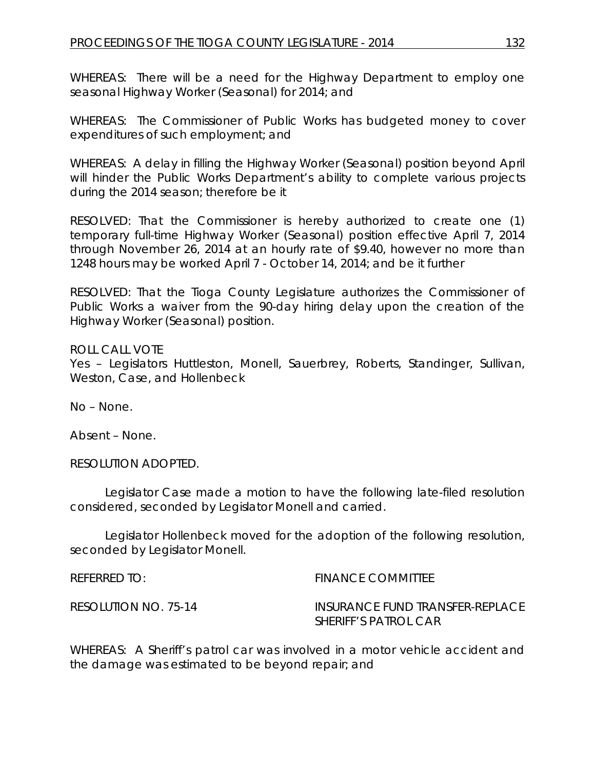WHEREAS: There will be a need for the Highway Department to employ one seasonal Highway Worker (Seasonal) for 2014; and

WHEREAS: The Commissioner of Public Works has budgeted money to cover expenditures of such employment; and

WHEREAS: A delay in filling the Highway Worker (Seasonal) position beyond April will hinder the Public Works Department's ability to complete various projects during the 2014 season; therefore be it

RESOLVED: That the Commissioner is hereby authorized to create one (1) temporary full-time Highway Worker (Seasonal) position effective April 7, 2014 through November 26, 2014 at an hourly rate of \$9.40, however no more than 1248 hours may be worked April 7 - October 14, 2014; and be it further

RESOLVED: That the Tioga County Legislature authorizes the Commissioner of Public Works a waiver from the 90-day hiring delay upon the creation of the Highway Worker (Seasonal) position.

ROLL CALL VOTE Yes – Legislators Huttleston, Monell, Sauerbrey, Roberts, Standinger, Sullivan, Weston, Case, and Hollenbeck

No – None.

Absent – None.

RESOLUTION ADOPTED.

Legislator Case made a motion to have the following late-filed resolution considered, seconded by Legislator Monell and carried.

Legislator Hollenbeck moved for the adoption of the following resolution, seconded by Legislator Monell.

REFERRED TO: The Second Second Second Second Second Second Second Second Second Second Second Second Second Second Second Second Second Second Second Second Second Second Second Second Second Second Second Second Second Se

RESOLUTION NO. 75-14 *INSURANCE FUND TRANSFER-REPLACE SHERIFF'S PATROL CAR*

WHEREAS: A Sheriff's patrol car was involved in a motor vehicle accident and the damage was estimated to be beyond repair; and